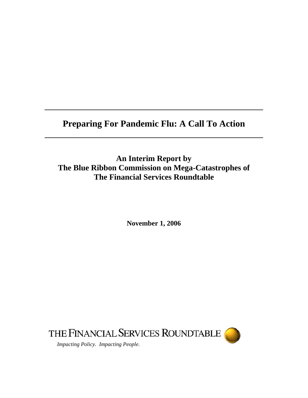# **Preparing For Pandemic Flu: A Call To Action**

**An Interim Report by The Blue Ribbon Commission on Mega-Catastrophes of The Financial Services Roundtable** 

**November 1, 2006** 

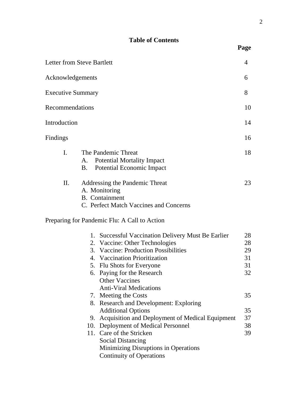# **Table of Contents**

|                          | <b>Letter from Steve Bartlett</b>                                                                                                                                                                                                                                                  | 4                                |
|--------------------------|------------------------------------------------------------------------------------------------------------------------------------------------------------------------------------------------------------------------------------------------------------------------------------|----------------------------------|
| Acknowledgements         |                                                                                                                                                                                                                                                                                    |                                  |
| <b>Executive Summary</b> |                                                                                                                                                                                                                                                                                    | 8                                |
| Recommendations          |                                                                                                                                                                                                                                                                                    | 10                               |
| Introduction             |                                                                                                                                                                                                                                                                                    | 14                               |
| Findings                 |                                                                                                                                                                                                                                                                                    | 16                               |
| I.                       | The Pandemic Threat<br><b>Potential Mortality Impact</b><br>А.<br>B.<br>Potential Economic Impact                                                                                                                                                                                  | 18                               |
| II.                      | Addressing the Pandemic Threat<br>A. Monitoring<br><b>B.</b> Containment<br>C. Perfect Match Vaccines and Concerns                                                                                                                                                                 | 23                               |
|                          | Preparing for Pandemic Flu: A Call to Action                                                                                                                                                                                                                                       |                                  |
|                          | 1. Successful Vaccination Delivery Must Be Earlier<br>2. Vaccine: Other Technologies<br>3. Vaccine: Production Possibilities<br>4. Vaccination Prioritization<br>5. Flu Shots for Everyone<br>6. Paying for the Research<br><b>Other Vaccines</b><br><b>Anti-Viral Medications</b> | 28<br>28<br>29<br>31<br>31<br>32 |
|                          | 7. Meeting the Costs<br>8. Research and Development: Exploring<br><b>Additional Options</b><br>9. Acquisition and Deployment of Medical Equipment<br>10. Deployment of Medical Personnel<br>11. Care of the Stricken<br><b>Social Distancing</b>                                   | 35<br>35<br>37<br>38<br>39       |
|                          | Minimizing Disruptions in Operations<br><b>Continuity of Operations</b>                                                                                                                                                                                                            |                                  |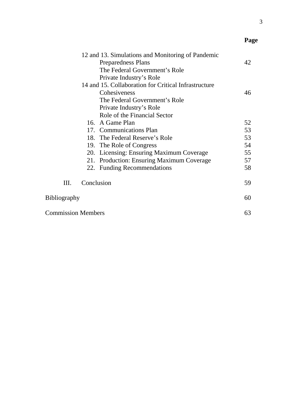| 12 and 13. Simulations and Monitoring of Pandemic    |    |
|------------------------------------------------------|----|
| Preparedness Plans                                   | 42 |
| The Federal Government's Role                        |    |
| Private Industry's Role                              |    |
| 14 and 15. Collaboration for Critical Infrastructure |    |
| Cohesiveness                                         | 46 |
| The Federal Government's Role                        |    |
| Private Industry's Role                              |    |
| Role of the Financial Sector                         |    |
| 16. A Game Plan                                      | 52 |
| 17. Communications Plan                              | 53 |
| 18. The Federal Reserve's Role                       | 53 |
| 19. The Role of Congress                             | 54 |
| 20. Licensing: Ensuring Maximum Coverage             | 55 |
| 21. Production: Ensuring Maximum Coverage            | 57 |
| 22. Funding Recommendations                          | 58 |
|                                                      |    |
| Conclusion<br>III.                                   | 59 |
|                                                      | 60 |
| <b>Bibliography</b>                                  |    |
| <b>Commission Members</b>                            |    |

**Page**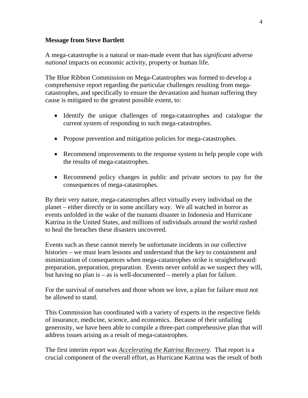### **Message from Steve Bartlett**

A mega-catastrophe is a natural or man-made event that has *significant* adverse *national* impacts on economic activity, property or human life.

The Blue Ribbon Commission on Mega-Catastrophes was formed to develop a comprehensive report regarding the particular challenges resulting from megacatastrophes, and specifically to ensure the devastation and human suffering they cause is mitigated to the greatest possible extent, to:

- Identify the unique challenges of mega-catastrophes and catalogue the current system of responding to such mega-catastrophes.
- Propose prevention and mitigation policies for mega-catastrophes.
- Recommend improvements to the response system to help people cope with the results of mega-catastrophes.
- Recommend policy changes in public and private sectors to pay for the consequences of mega-catastrophes.

By their very nature, mega-catastrophes affect virtually every individual on the planet – either directly or in some ancillary way. We all watched in horror as events unfolded in the wake of the tsunami disaster in Indonesia and Hurricane Katrina in the United States, and millions of individuals around the world rushed to heal the breaches these disasters uncovered.

Events such as these cannot merely be unfortunate incidents in our collective histories – we must learn lessons and understand that the key to containment and minimization of consequences when mega-catastrophes strike is straightforward: preparation, preparation, preparation. Events never unfold as we suspect they will, but having no plan is – as is well-documented – merely a plan for failure.

For the survival of ourselves and those whom we love, a plan for failure must not be allowed to stand.

This Commission has coordinated with a variety of experts in the respective fields of insurance, medicine, science, and economics. Because of their unfailing generosity, we have been able to compile a three-part comprehensive plan that will address issues arising as a result of mega-catastrophes.

The first interim report was *Accelerating the Katrina Recovery*. That report is a crucial component of the overall effort, as Hurricane Katrina was the result of both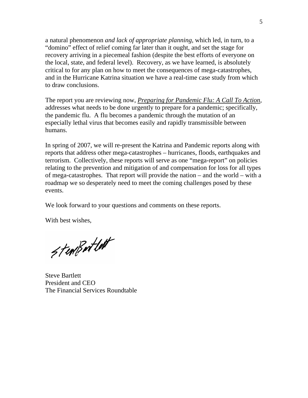a natural phenomenon *and lack of appropriate planning,* which led, in turn, to a "domino" effect of relief coming far later than it ought, and set the stage for recovery arriving in a piecemeal fashion (despite the best efforts of everyone on the local, state, and federal level). Recovery, as we have learned, is absolutely critical to for any plan on how to meet the consequences of mega-catastrophes, and in the Hurricane Katrina situation we have a real-time case study from which to draw conclusions.

The report you are reviewing now, *Preparing for Pandemic Flu: A Call To Action*, addresses what needs to be done urgently to prepare for a pandemic; specifically, the pandemic flu. A flu becomes a pandemic through the mutation of an especially lethal virus that becomes easily and rapidly transmissible between humans.

In spring of 2007, we will re-present the Katrina and Pandemic reports along with reports that address other mega-catastrophes – hurricanes, floods, earthquakes and terrorism. Collectively, these reports will serve as one "mega-report" on policies relating to the prevention and mitigation of and compensation for loss for all types of mega-catastrophes. That report will provide the nation – and the world – with a roadmap we so desperately need to meet the coming challenges posed by these events.

We look forward to your questions and comments on these reports.

With best wishes,

Sterißertlett

Steve Bartlett President and CEO The Financial Services Roundtable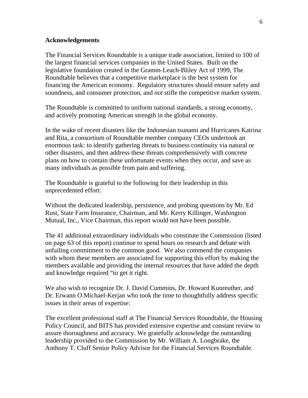#### **Acknowledgements**

The Financial Services Roundtable is a unique trade association, limited to 100 of the largest financial services companies in the United States. Built on the legislative foundation created in the Gramm-Leach-Bliley Act of 1999, The Roundtable believes that a competitive marketplace is the best system for financing the American economy. Regulatory structures should ensure safety and soundness, and consumer protection, and *not* stifle the competitive market system.

The Roundtable is committed to uniform national standards, a strong economy, and actively promoting American strength in the global economy.

In the wake of recent disasters like the Indonesian tsunami and Hurricanes Katrina and Rita, a consortium of Roundtable member company CEOs undertook an enormous task: to identify gathering threats to business continuity via natural or other disasters, and then address these threats comprehensively with concrete plans on how to contain these unfortunate events when they occur, and save as many individuals as possible from pain and suffering.

The Roundtable is grateful to the following for their leadership in this unprecedented effort:

Without the dedicated leadership, persistence, and probing questions by Mr. Ed Rust, State Farm Insurance, Chairman, and Mr. Kerry Killinger, Washington Mutual, Inc., Vice Chairman, this report would not have been possible.

The 41 additional extraordinary individuals who constitute the Commission (listed on page 63 of this report) continue to spend hours on research and debate with unfailing commitment to the common good. We also commend the companies with whom these members are associated for supporting this effort by making the members available and providing the internal resources that have added the depth and knowledge required "to get it right.

We also wish to recognize Dr. J. David Cummins, Dr. Howard Kunreuther, and Dr. Erwann O.Michael-Kerjan who took the time to thoughtfully address specific issues in their areas of expertise:

The excellent professional staff at The Financial Services Roundtable, the Housing Policy Council, and BITS has provided extensive expertise and constant review to assure thoroughness and accuracy. We gratefully acknowledge the outstanding leadership provided to the Commission by Mr. William A. Longbrake, the Anthony T. Cluff Senior Policy Advisor for the Financial Services Roundtable.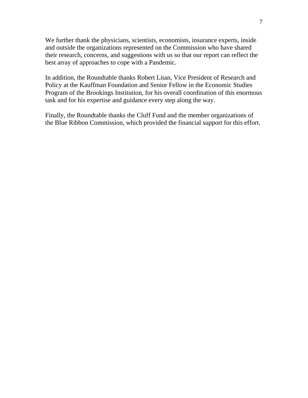We further thank the physicians, scientists, economists, insurance experts, inside and outside the organizations represented on the Commission who have shared their research, concerns, and suggestions with us so that our report can reflect the best array of approaches to cope with a Pandemic.

In addition, the Roundtable thanks Robert Litan, Vice President of Research and Policy at the Kauffman Foundation and Senior Fellow in the Economic Studies Program of the Brookings Institution, for his overall coordination of this enormous task and for his expertise and guidance every step along the way.

Finally, the Roundtable thanks the Cluff Fund and the member organizations of the Blue Ribbon Commission, which provided the financial support for this effort.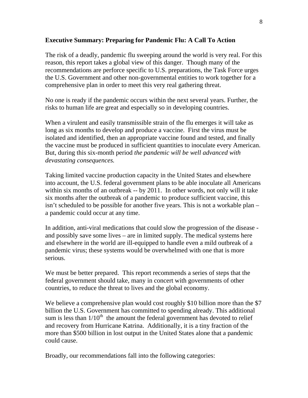### **Executive Summary: Preparing for Pandemic Flu: A Call To Action**

The risk of a deadly, pandemic flu sweeping around the world is very real. For this reason, this report takes a global view of this danger. Though many of the recommendations are perforce specific to U.S. preparations, the Task Force urges the U.S. Government and other non-governmental entities to work together for a comprehensive plan in order to meet this very real gathering threat.

No one is ready if the pandemic occurs within the next several years. Further, the risks to human life are great and especially so in developing countries.

When a virulent and easily transmissible strain of the flu emerges it will take as long as six months to develop and produce a vaccine. First the virus must be isolated and identified, then an appropriate vaccine found and tested, and finally the vaccine must be produced in sufficient quantities to inoculate every American. But, during this six-month period *the pandemic will be well advanced with devastating consequences.*

Taking limited vaccine production capacity in the United States and elsewhere into account, the U.S. federal government plans to be able inoculate all Americans within six months of an outbreak -- by 2011. In other words, not only will it take six months after the outbreak of a pandemic to produce sufficient vaccine, this isn't scheduled to be possible for another five years. This is not a workable plan – a pandemic could occur at any time.

In addition, anti-viral medications that could slow the progression of the disease and possibly save some lives – are in limited supply. The medical systems here and elsewhere in the world are ill-equipped to handle even a mild outbreak of a pandemic virus; these systems would be overwhelmed with one that is more serious.

We must be better prepared. This report recommends a series of steps that the federal government should take, many in concert with governments of other countries, to reduce the threat to lives and the global economy.

We believe a comprehensive plan would cost roughly \$10 billion more than the \$7 billion the U.S. Government has committed to spending already. This additional sum is less than  $1/10^{th}$  the amount the federal government has devoted to relief and recovery from Hurricane Katrina. Additionally, it is a tiny fraction of the more than \$500 billion in lost output in the United States alone that a pandemic could cause.

Broadly, our recommendations fall into the following categories: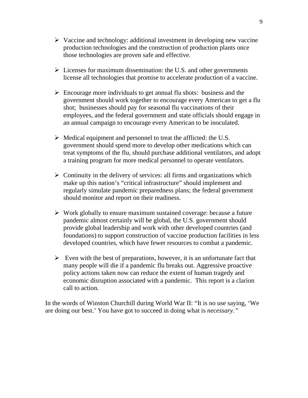- $\triangleright$  Vaccine and technology: additional investment in developing new vaccine production technologies and the construction of production plants once those technologies are proven safe and effective.
- $\triangleright$  Licenses for maximum dissemination: the U.S. and other governments license all technologies that promise to accelerate production of a vaccine.
- $\triangleright$  Encourage more individuals to get annual flu shots: business and the government should work together to encourage every American to get a flu shot; businesses should pay for seasonal flu vaccinations of their employees, and the federal government and state officials should engage in an annual campaign to encourage every American to be inoculated.
- $\triangleright$  Medical equipment and personnel to treat the afflicted: the U.S. government should spend more to develop other medications which can treat symptoms of the flu, should purchase additional ventilators, and adopt a training program for more medical personnel to operate ventilators.
- $\triangleright$  Continuity in the delivery of services: all firms and organizations which make up this nation's "critical infrastructure" should implement and regularly simulate pandemic preparedness plans; the federal government should monitor and report on their readiness.
- $\triangleright$  Work globally to ensure maximum sustained coverage: because a future pandemic almost certainly will be global, the U.S. government should provide global leadership and work with other developed countries (and foundations) to support construction of vaccine production facilities in less developed countries, which have fewer resources to combat a pandemic.
- $\triangleright$  Even with the best of preparations, however, it is an unfortunate fact that many people will die if a pandemic flu breaks out. Aggressive proactive policy actions taken now can reduce the extent of human tragedy and economic disruption associated with a pandemic. This report is a clarion call to action.

In the words of Winston Churchill during World War II: "It is no use saying, 'We are doing our best.' You have got to succeed in doing what is *necessary."*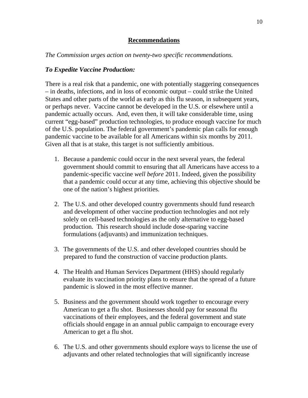### **Recommendations**

### *The Commission urges action on twenty-two specific recommendations.*

# *To Expedite Vaccine Production:*

There is a real risk that a pandemic, one with potentially staggering consequences – in deaths, infections, and in loss of economic output – could strike the United States and other parts of the world as early as this flu season, in subsequent years, or perhaps never. Vaccine cannot be developed in the U.S. or elsewhere until a pandemic actually occurs. And, even then, it will take considerable time, using current "egg-based" production technologies, to produce enough vaccine for much of the U.S. population. The federal government's pandemic plan calls for enough pandemic vaccine to be available for all Americans within six months by 2011. Given all that is at stake, this target is not sufficiently ambitious.

- 1. Because a pandemic could occur in the next several years, the federal government should commit to ensuring that all Americans have access to a pandemic-specific vaccine *well before* 2011. Indeed, given the possibility that a pandemic could occur at any time, achieving this objective should be one of the nation's highest priorities.
- 2. The U.S. and other developed country governments should fund research and development of other vaccine production technologies and not rely solely on cell-based technologies as the only alternative to egg-based production. This research should include dose-sparing vaccine formulations (adjuvants) and immunization techniques.
- 3. The governments of the U.S. and other developed countries should be prepared to fund the construction of vaccine production plants.
- 4. The Health and Human Services Department (HHS) should regularly evaluate its vaccination priority plans to ensure that the spread of a future pandemic is slowed in the most effective manner.
- 5. Business and the government should work together to encourage every American to get a flu shot. Businesses should pay for seasonal flu vaccinations of their employees, and the federal government and state officials should engage in an annual public campaign to encourage every American to get a flu shot.
- 6. The U.S. and other governments should explore ways to license the use of adjuvants and other related technologies that will significantly increase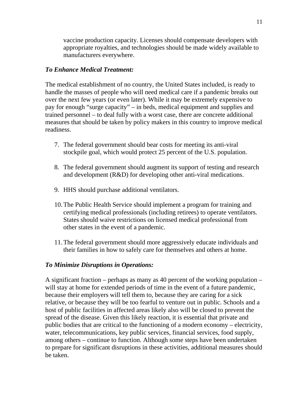vaccine production capacity. Licenses should compensate developers with appropriate royalties, and technologies should be made widely available to manufacturers everywhere.

# *To Enhance Medical Treatment:*

The medical establishment of no country, the United States included, is ready to handle the masses of people who will need medical care if a pandemic breaks out over the next few years (or even later). While it may be extremely expensive to pay for enough "surge capacity" – in beds, medical equipment and supplies and trained personnel – to deal fully with a worst case, there are concrete additional measures that should be taken by policy makers in this country to improve medical readiness.

- 7. The federal government should bear costs for meeting its anti-viral stockpile goal, which would protect 25 percent of the U.S. population.
- 8. The federal government should augment its support of testing and research and development (R&D) for developing other anti-viral medications.
- 9. HHS should purchase additional ventilators.
- 10.The Public Health Service should implement a program for training and certifying medical professionals (including retirees) to operate ventilators. States should waive restrictions on licensed medical professional from other states in the event of a pandemic.
- 11.The federal government should more aggressively educate individuals and their families in how to safely care for themselves and others at home.

# *To Minimize Disruptions in Operations:*

A significant fraction – perhaps as many as 40 percent of the working population – will stay at home for extended periods of time in the event of a future pandemic, because their employers will tell them to, because they are caring for a sick relative, or because they will be too fearful to venture out in public. Schools and a host of public facilities in affected areas likely also will be closed to prevent the spread of the disease. Given this likely reaction, it is essential that private and public bodies that are critical to the functioning of a modern economy – electricity, water, telecommunications, key public services, financial services, food supply, among others – continue to function. Although some steps have been undertaken to prepare for significant disruptions in these activities, additional measures should be taken.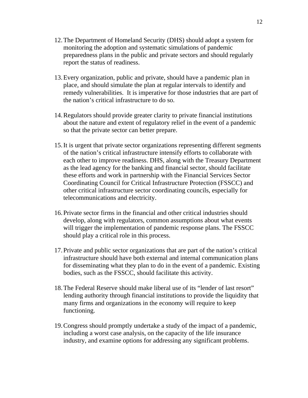- 12.The Department of Homeland Security (DHS) should adopt a system for monitoring the adoption and systematic simulations of pandemic preparedness plans in the public and private sectors and should regularly report the status of readiness.
- 13.Every organization, public and private, should have a pandemic plan in place, and should simulate the plan at regular intervals to identify and remedy vulnerabilities. It is imperative for those industries that are part of the nation's critical infrastructure to do so.
- 14.Regulators should provide greater clarity to private financial institutions about the nature and extent of regulatory relief in the event of a pandemic so that the private sector can better prepare.
- 15.It is urgent that private sector organizations representing different segments of the nation's critical infrastructure intensify efforts to collaborate with each other to improve readiness. DHS, along with the Treasury Department as the lead agency for the banking and financial sector, should facilitate these efforts and work in partnership with the Financial Services Sector Coordinating Council for Critical Infrastructure Protection (FSSCC) and other critical infrastructure sector coordinating councils, especially for telecommunications and electricity.
- 16.Private sector firms in the financial and other critical industries should develop, along with regulators, common assumptions about what events will trigger the implementation of pandemic response plans. The FSSCC should play a critical role in this process.
- 17.Private and public sector organizations that are part of the nation's critical infrastructure should have both external and internal communication plans for disseminating what they plan to do in the event of a pandemic. Existing bodies, such as the FSSCC, should facilitate this activity.
- 18.The Federal Reserve should make liberal use of its "lender of last resort" lending authority through financial institutions to provide the liquidity that many firms and organizations in the economy will require to keep functioning.
- 19.Congress should promptly undertake a study of the impact of a pandemic, including a worst case analysis, on the capacity of the life insurance industry, and examine options for addressing any significant problems.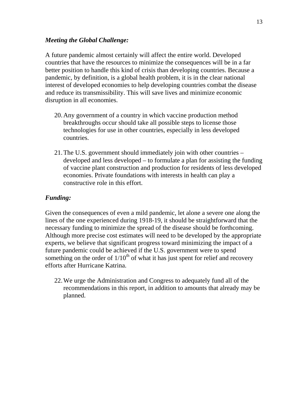### *Meeting the Global Challenge:*

A future pandemic almost certainly will affect the entire world. Developed countries that have the resources to minimize the consequences will be in a far better position to handle this kind of crisis than developing countries. Because a pandemic, by definition, is a global health problem, it is in the clear national interest of developed economies to help developing countries combat the disease and reduce its transmissibility. This will save lives and minimize economic disruption in all economies.

- 20.Any government of a country in which vaccine production method breakthroughs occur should take all possible steps to license those technologies for use in other countries, especially in less developed countries.
- 21.The U.S. government should immediately join with other countries developed and less developed – to formulate a plan for assisting the funding of vaccine plant construction and production for residents of less developed economies. Private foundations with interests in health can play a constructive role in this effort.

# *Funding:*

Given the consequences of even a mild pandemic, let alone a severe one along the lines of the one experienced during 1918-19, it should be straightforward that the necessary funding to minimize the spread of the disease should be forthcoming. Although more precise cost estimates will need to be developed by the appropriate experts, we believe that significant progress toward minimizing the impact of a future pandemic could be achieved if the U.S. government were to spend something on the order of  $1/10<sup>th</sup>$  of what it has just spent for relief and recovery efforts after Hurricane Katrina.

22.We urge the Administration and Congress to adequately fund all of the recommendations in this report, in addition to amounts that already may be planned.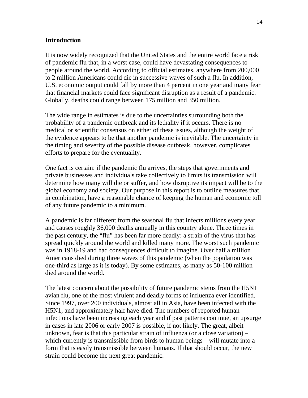### **Introduction**

It is now widely recognized that the United States and the entire world face a risk of pandemic flu that, in a worst case, could have devastating consequences to people around the world. According to official estimates, anywhere from 200,000 to 2 million Americans could die in successive waves of such a flu. In addition, U.S. economic output could fall by more than 4 percent in one year and many fear that financial markets could face significant disruption as a result of a pandemic. Globally, deaths could range between 175 million and 350 million.

The wide range in estimates is due to the uncertainties surrounding both the probability of a pandemic outbreak and its lethality if it occurs. There is no medical or scientific consensus on either of these issues, although the weight of the evidence appears to be that another pandemic is inevitable. The uncertainty in the timing and severity of the possible disease outbreak, however, complicates efforts to prepare for the eventuality.

One fact is certain: if the pandemic flu arrives, the steps that governments and private businesses and individuals take collectively to limits its transmission will determine how many will die or suffer, and how disruptive its impact will be to the global economy and society. Our purpose in this report is to outline measures that, in combination, have a reasonable chance of keeping the human and economic toll of any future pandemic to a minimum.

A pandemic is far different from the seasonal flu that infects millions every year and causes roughly 36,000 deaths annually in this country alone. Three times in the past century, the "flu" has been far more deadly: a strain of the virus that has spread quickly around the world and killed many more. The worst such pandemic was in 1918-19 and had consequences difficult to imagine. Over half a million Americans died during three waves of this pandemic (when the population was one-third as large as it is today). By some estimates, as many as 50-100 million died around the world.

The latest concern about the possibility of future pandemic stems from the H5N1 avian flu, one of the most virulent and deadly forms of influenza ever identified. Since 1997, over 200 individuals, almost all in Asia, have been infected with the H5N1, and approximately half have died. The numbers of reported human infections have been increasing each year and if past patterns continue, an upsurge in cases in late 2006 or early 2007 is possible, if not likely. The great, albeit unknown, fear is that this particular strain of influenza (or a close variation) – which currently is transmissible from birds to human beings – will mutate into a form that is easily transmissible between humans. If that should occur, the new strain could become the next great pandemic.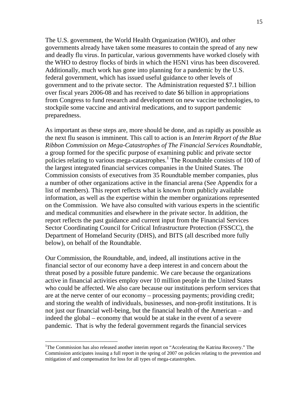The U.S. government, the World Health Organization (WHO), and other governments already have taken some measures to contain the spread of any new and deadly flu virus. In particular, various governments have worked closely with the WHO to destroy flocks of birds in which the H5N1 virus has been discovered. Additionally, much work has gone into planning for a pandemic by the U.S. federal government, which has issued useful guidance to other levels of government and to the private sector. The Administration requested \$7.1 billion over fiscal years 2006-08 and has received to date \$6 billion in appropriations from Congress to fund research and development on new vaccine technologies, to stockpile some vaccine and antiviral medications, and to support pandemic preparedness.

As important as these steps are, more should be done, and as rapidly as possible as the next flu season is imminent. This call to action is an *Interim Report of the Blue Ribbon Commission on Mega-Catastrophes of The Financial Services Roundtable*, a group formed for the specific purpose of examining public and private sector policies relating to various mega-catastrophes.<sup>1</sup> The Roundtable consists of 100 of the largest integrated financial services companies in the United States. The Commission consists of executives from 35 Roundtable member companies, plus a number of other organizations active in the financial arena (See Appendix for a list of members). This report reflects what is known from publicly available information, as well as the expertise within the member organizations represented on the Commission. We have also consulted with various experts in the scientific and medical communities and elsewhere in the private sector. In addition, the report reflects the past guidance and current input from the Financial Services Sector Coordinating Council for Critical Infrastructure Protection (FSSCC), the Department of Homeland Security (DHS), and BITS (all described more fully below), on behalf of the Roundtable.

Our Commission, the Roundtable, and, indeed, all institutions active in the financial sector of our economy have a deep interest in and concern about the threat posed by a possible future pandemic. We care because the organizations active in financial activities employ over 10 million people in the United States who could be affected. We also care because our institutions perform services that are at the nerve center of our economy – processing payments; providing credit; and storing the wealth of individuals, businesses, and non-profit institutions. It is not just our financial well-being, but the financial health of the American – and indeed the global – economy that would be at stake in the event of a severe pandemic. That is why the federal government regards the financial services

<sup>&</sup>lt;sup>1</sup>The Commission has also released another interim report on "Accelerating the Katrina Recovery." The Commission anticipates issuing a full report in the spring of 2007 on policies relating to the prevention and mitigation of and compensation for loss for all types of mega-catastrophes.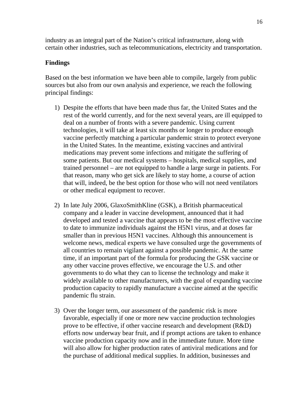industry as an integral part of the Nation's critical infrastructure, along with certain other industries, such as telecommunications, electricity and transportation.

# **Findings**

Based on the best information we have been able to compile, largely from public sources but also from our own analysis and experience, we reach the following principal findings:

- 1) Despite the efforts that have been made thus far, the United States and the rest of the world currently, and for the next several years, are ill equipped to deal on a number of fronts with a severe pandemic. Using current technologies, it will take at least six months or longer to produce enough vaccine perfectly matching a particular pandemic strain to protect everyone in the United States. In the meantime, existing vaccines and antiviral medications may prevent some infections and mitigate the suffering of some patients. But our medical systems – hospitals, medical supplies, and trained personnel – are not equipped to handle a large surge in patients. For that reason, many who get sick are likely to stay home, a course of action that will, indeed, be the best option for those who will not need ventilators or other medical equipment to recover.
- 2) In late July 2006, GlaxoSmithKline (GSK), a British pharmaceutical company and a leader in vaccine development, announced that it had developed and tested a vaccine that appears to be the most effective vaccine to date to immunize individuals against the H5N1 virus, and at doses far smaller than in previous H5N1 vaccines. Although this announcement is welcome news, medical experts we have consulted urge the governments of all countries to remain vigilant against a possible pandemic. At the same time, if an important part of the formula for producing the GSK vaccine or any other vaccine proves effective, we encourage the U.S. and other governments to do what they can to license the technology and make it widely available to other manufacturers, with the goal of expanding vaccine production capacity to rapidly manufacture a vaccine aimed at the specific pandemic flu strain.
- 3) Over the longer term, our assessment of the pandemic risk is more favorable, especially if one or more new vaccine production technologies prove to be effective, if other vaccine research and development (R&D) efforts now underway bear fruit, and if prompt actions are taken to enhance vaccine production capacity now and in the immediate future. More time will also allow for higher production rates of antiviral medications and for the purchase of additional medical supplies. In addition, businesses and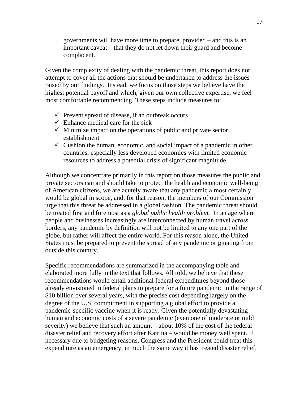governments will have more time to prepare, provided – and this is an important caveat – that they do not let down their guard and become complacent.

Given the complexity of dealing with the pandemic threat, this report does not attempt to cover all the actions that should be undertaken to address the issues raised by our findings. Instead, we focus on those steps we believe have the highest potential payoff and which, given our own collective expertise, we feel most comfortable recommending. These steps include measures to:

- $\checkmark$  Prevent spread of disease, if an outbreak occurs
- $\checkmark$  Enhance medical care for the sick
- $\checkmark$  Minimize impact on the operations of public and private sector establishment
- $\checkmark$  Cushion the human, economic, and social impact of a pandemic in other countries, especially less developed economies with limited economic resources to address a potential crisis of significant magnitude

Although we concentrate primarily in this report on those measures the public and private sectors can and should take to protect the health and economic well-being of American citizens, we are acutely aware that any pandemic almost certainly would be global in scope, and, for that reason, the members of our Commission urge that this threat be addressed in a global fashion. The pandemic threat should be treated first and foremost as a *global public health problem.* In an age where people and businesses increasingly are interconnected by human travel across borders, any pandemic by definition will not be limited to any one part of the globe, but rather will affect the entire world. For this reason alone, the United States must be prepared to prevent the spread of any pandemic originating from outside this country.

Specific recommendations are summarized in the accompanying table and elaborated more fully in the text that follows. All told, we believe that these recommendations would entail additional federal expenditures beyond those already envisioned in federal plans to prepare for a future pandemic in the range of \$10 billion over several years, with the precise cost depending largely on the degree of the U.S. commitment in supporting a global effort to provide a pandemic-specific vaccine when it is ready. Given the potentially devastating human and economic costs of a severe pandemic (even one of moderate or mild severity) we believe that such an amount – about 10% of the cost of the federal disaster relief and recovery effort after Katrina – would be money well spent. If necessary due to budgeting reasons, Congress and the President could treat this expenditure as an emergency, in much the same way it has treated disaster relief.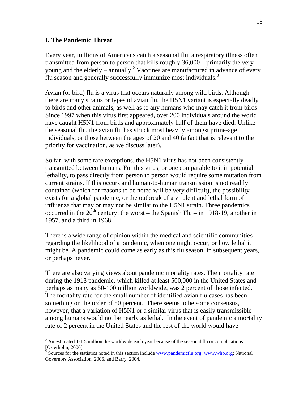### **I. The Pandemic Threat**

 $\overline{a}$ 

Every year, millions of Americans catch a seasonal flu, a respiratory illness often transmitted from person to person that kills roughly 36,000 – primarily the very young and the elderly – annually.<sup>2</sup> Vaccines are manufactured in advance of every flu season and generally successfully immunize most individuals.<sup>3</sup>

Avian (or bird) flu is a virus that occurs naturally among wild birds. Although there are many strains or types of avian flu, the H5N1 variant is especially deadly to birds and other animals, as well as to any humans who may catch it from birds. Since 1997 when this virus first appeared, over 200 individuals around the world have caught H5N1 from birds and approximately half of them have died. Unlike the seasonal flu, the avian flu has struck most heavily amongst prime-age individuals, or those between the ages of 20 and 40 (a fact that is relevant to the priority for vaccination, as we discuss later).

So far, with some rare exceptions, the H5N1 virus has not been consistently transmitted between humans. For this virus, or one comparable to it in potential lethality, to pass directly from person to person would require some mutation from current strains. If this occurs and human-to-human transmission is not readily contained (which for reasons to be noted will be very difficult), the possibility exists for a global pandemic, or the outbreak of a virulent and lethal form of influenza that may or may not be similar to the H5N1 strain. Three pandemics occurred in the  $20<sup>th</sup>$  century: the worst – the Spanish Flu – in 1918-19, another in 1957, and a third in 1968.

There is a wide range of opinion within the medical and scientific communities regarding the likelihood of a pandemic, when one might occur, or how lethal it might be. A pandemic could come as early as this flu season, in subsequent years, or perhaps never.

There are also varying views about pandemic mortality rates. The mortality rate during the 1918 pandemic, which killed at least 500,000 in the United States and perhaps as many as 50-100 million worldwide, was 2 percent of those infected. The mortality rate for the small number of identified avian flu cases has been something on the order of 50 percent. There seems to be some consensus, however, that a variation of H5N1 or a similar virus that is easily transmissible among humans would not be nearly as lethal. In the event of pandemic a mortality rate of 2 percent in the United States and the rest of the world would have

 $2^2$  An estimated 1-1.5 million die worldwide each year because of the seasonal flu or complications [Osterholm, 2006].

<sup>&</sup>lt;sup>3</sup> Sources for the statistics noted in this section include www.pandemicflu.org; www.who.org; National Governors Association, 2006, and Barry, 2004.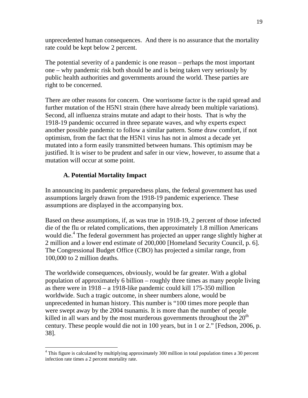unprecedented human consequences. And there is no assurance that the mortality rate could be kept below 2 percent.

The potential severity of a pandemic is one reason – perhaps the most important one – why pandemic risk both should be and is being taken very seriously by public health authorities and governments around the world. These parties are right to be concerned.

There are other reasons for concern. One worrisome factor is the rapid spread and further mutation of the H5N1 strain (there have already been multiple variations). Second, all influenza strains mutate and adapt to their hosts. That is why the 1918-19 pandemic occurred in three separate waves, and why experts expect another possible pandemic to follow a similar pattern. Some draw comfort, if not optimism, from the fact that the H5N1 virus has not in almost a decade yet mutated into a form easily transmitted between humans. This optimism may be justified. It is wiser to be prudent and safer in our view, however, to assume that a mutation will occur at some point.

# **A. Potential Mortality Impact**

 $\overline{a}$ 

In announcing its pandemic preparedness plans, the federal government has used assumptions largely drawn from the 1918-19 pandemic experience. These assumptions are displayed in the accompanying box.

Based on these assumptions, if, as was true in 1918-19, 2 percent of those infected die of the flu or related complications, then approximately 1.8 million Americans would die.<sup>4</sup> The federal government has projected an upper range slightly higher at 2 million and a lower end estimate of 200,000 [Homeland Security Council, p. 6]. The Congressional Budget Office (CBO) has projected a similar range, from 100,000 to 2 million deaths.

The worldwide consequences, obviously, would be far greater. With a global population of approximately 6 billion – roughly three times as many people living as there were in 1918 – a 1918-like pandemic could kill 175-350 million worldwide. Such a tragic outcome, in sheer numbers alone, would be unprecedented in human history. This number is "100 times more people than were swept away by the 2004 tsunamis. It is more than the number of people killed in all wars and by the most murderous governments throughout the  $20<sup>th</sup>$ century. These people would die not in 100 years, but in 1 or 2." [Fedson, 2006, p. 38].

<sup>&</sup>lt;sup>4</sup> This figure is calculated by multiplying approximately 300 million in total population times a 30 percent infection rate times a 2 percent mortality rate.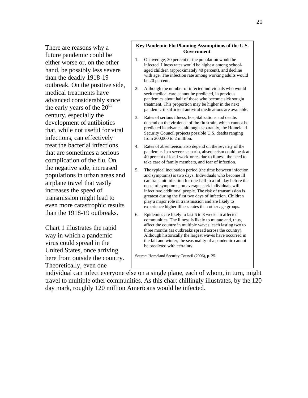There are reasons why a future pandemic could be either worse or, on the other hand, be possibly less severe than the deadly 1918-19 outbreak. On the positive side, medical treatments have advanced considerably since the early years of the  $20<sup>th</sup>$ century, especially the development of antibiotics that, while not useful for viral infections, can effectively treat the bacterial infections that are sometimes a serious complication of the flu. On the negative side, increased populations in urban areas and airplane travel that vastly increases the speed of transmission might lead to even more catastrophic results than the 1918-19 outbreaks.

Chart 1 illustrates the rapid way in which a pandemic virus could spread in the United States, once arriving here from outside the country. Theoretically, even one

#### **Key Pandemic Flu Planning Assumptions of the U.S. Government**

- 1. On average, 30 percent of the population would be infected. Illness rates would be highest among schoolaged children (approximately 40 percent), and decline with age. The infection rate among working adults would be 20 percent.
- 2. Although the number of infected individuals who would seek medical care cannot be predicted, in previous pandemics about half of those who become sick sought treatment. This proportion may be higher in the next pandemic if sufficient antiviral medications are available.
- 3. Rates of serious illness, hospitalizations and deaths depend on the virulence of the flu strain, which cannot be predicted in advance, although separately, the Homeland Security Council projects possible U.S. deaths ranging from 200,000 to 2 million.
- 4. Rates of absenteeism also depend on the severity of the pandemic. In a severe scenario, absenteeism could peak at 40 percent of local workforces due to illness, the need to take care of family members, and fear of infection.
- 5. The typical incubation period (the time between infection and symptoms) is two days. Individuals who become ill can transmit infection for one-half to a full day before the onset of symptoms; on average, sick individuals will infect two additional people. The risk of transmission is greatest during the first two days of infection. Children play a major role in transmission and are likely to experience higher illness rates than other age groups.
- 6. Epidemics are likely to last 6 to 8 weeks in affected communities. The illness is likely to mutate and, thus, affect the country in multiple waves, each lasting two to three months (as outbreaks spread across the country). Although historically the largest waves have occurred in the fall and winter, the seasonality of a pandemic cannot be predicted with certainty.

Source: Homeland Security Council (2006), p. 25.

individual can infect everyone else on a single plane, each of whom, in turn, might travel to multiple other communities. As this chart chillingly illustrates, by the 120 day mark, roughly 120 million Americans would be infected.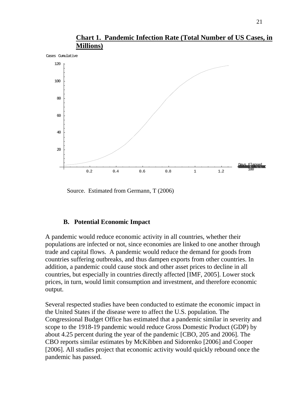

**Chart 1. Pandemic Infection Rate (Total Number of US Cases, in Millions)**

Source. Estimated from Germann, T (2006)

### **B. Potential Economic Impact**

A pandemic would reduce economic activity in all countries, whether their populations are infected or not, since economies are linked to one another through trade and capital flows. A pandemic would reduce the demand for goods from countries suffering outbreaks, and thus dampen exports from other countries. In addition, a pandemic could cause stock and other asset prices to decline in all countries, but especially in countries directly affected [IMF, 2005]. Lower stock prices, in turn, would limit consumption and investment, and therefore economic output.

Several respected studies have been conducted to estimate the economic impact in the United States if the disease were to affect the U.S. population. The Congressional Budget Office has estimated that a pandemic similar in severity and scope to the 1918-19 pandemic would reduce Gross Domestic Product (GDP) by about 4.25 percent during the year of the pandemic [CBO, 205 and 2006]. The CBO reports similar estimates by McKibben and Sidorenko [2006] and Cooper [2006]. All studies project that economic activity would quickly rebound once the pandemic has passed.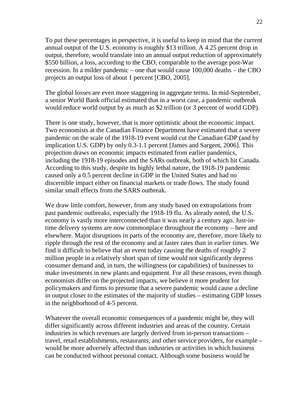To put these percentages in perspective, it is useful to keep in mind that the current annual output of the U.S. economy is roughly \$13 trillion. A 4.25 percent drop in output, therefore, would translate into an annual output reduction of approximately \$550 billion, a loss, according to the CBO, comparable to the average post-War recession. In a milder pandemic – one that would cause 100,000 deaths – the CBO projects an output loss of about 1 percent [CBO, 2005].

The global losses are even more staggering in aggregate terms. In mid-September, a senior World Bank official estimated that in a worst case, a pandemic outbreak would reduce world output by as much as \$2 trillion (or 3 percent of world GDP).

There is one study, however, that is more optimistic about the economic impact. Two economists at the Canadian Finance Department have estimated that a severe pandemic on the scale of the 1918-19 event would cut the Canadian GDP (and by implication U.S. GDP) by only 0.3-1.1 percent [James and Sargent, 2006]. This projection draws on economic impacts estimated from earlier pandemics, including the 1918-19 episodes and the SARs outbreak, both of which hit Canada. According to this study, despite its highly lethal nature, the 1918-19 pandemic caused only a 0.5 percent decline in GDP in the United States and had no discernible impact either on financial markets or trade flows. The study found similar small effects from the SARS outbreak.

We draw little comfort, however, from any study based on extrapolations from past pandemic outbreaks, especially the 1918-19 flu. As already noted, the U.S. economy is vastly more interconnected than it was nearly a century ago. Just-intime delivery systems are now commonplace throughout the economy – here and elsewhere. Major disruptions in parts of the economy are, therefore, more likely to ripple through the rest of the economy and at faster rates than in earlier times. We find it difficult to believe that an event today causing the deaths of roughly 2 million people in a relatively short span of time would not significantly depress consumer demand and, in turn, the willingness (or capabilities) of businesses to make investments in new plants and equipment. For all these reasons, even though economists differ on the projected impacts, we believe it more prudent for policymakers and firms to presume that a severe pandemic would cause a decline in output closer to the estimates of the majority of studies – estimating GDP losses in the neighborhood of 4-5 percent.

Whatever the overall economic consequences of a pandemic might be, they will differ significantly across different industries and areas of the country. Certain industries in which revenues are largely derived from in-person transactions – travel, retail establishments, restaurants, and other service providers, for example – would be more adversely affected than industries or activities in which business can be conducted without personal contact. Although some business would be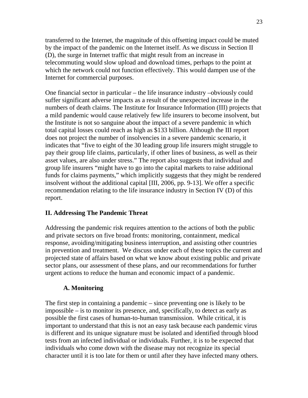transferred to the Internet, the magnitude of this offsetting impact could be muted by the impact of the pandemic on the Internet itself. As we discuss in Section II (D), the surge in Internet traffic that might result from an increase in telecommuting would slow upload and download times, perhaps to the point at which the network could not function effectively. This would dampen use of the Internet for commercial purposes.

One financial sector in particular – the life insurance industry –obviously could suffer significant adverse impacts as a result of the unexpected increase in the numbers of death claims. The Institute for Insurance Information (III) projects that a mild pandemic would cause relatively few life insurers to become insolvent, but the Institute is not so sanguine about the impact of a severe pandemic in which total capital losses could reach as high as \$133 billion. Although the III report does not project the number of insolvencies in a severe pandemic scenario, it indicates that "five to eight of the 30 leading group life insurers might struggle to pay their group life claims, particularly, if other lines of business, as well as their asset values, are also under stress." The report also suggests that individual and group life insurers "might have to go into the capital markets to raise additional funds for claims payments," which implicitly suggests that they might be rendered insolvent without the additional capital [III, 2006, pp. 9-13]. We offer a specific recommendation relating to the life insurance industry in Section IV (D) of this report.

### **II. Addressing The Pandemic Threat**

Addressing the pandemic risk requires attention to the actions of both the public and private sectors on five broad fronts: monitoring, containment, medical response, avoiding/mitigating business interruption, and assisting other countries in prevention and treatment. We discuss under each of these topics the current and projected state of affairs based on what we know about existing public and private sector plans, our assessment of these plans, and our recommendations for further urgent actions to reduce the human and economic impact of a pandemic.

### **A. Monitoring**

The first step in containing a pandemic – since preventing one is likely to be impossible – is to monitor its presence, and, specifically, to detect as early as possible the first cases of human-to-human transmission. While critical, it is important to understand that this is not an easy task because each pandemic virus is different and its unique signature must be isolated and identified through blood tests from an infected individual or individuals. Further, it is to be expected that individuals who come down with the disease may not recognize its special character until it is too late for them or until after they have infected many others.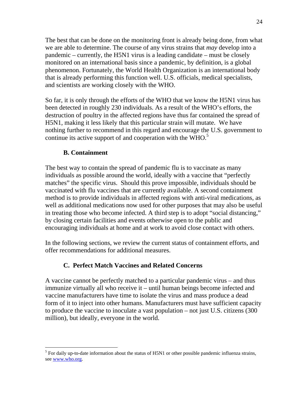The best that can be done on the monitoring front is already being done, from what we are able to determine. The course of any virus strains that *may* develop into a pandemic – currently, the H5N1 virus is a leading candidate – must be closely monitored on an international basis since a pandemic, by definition, is a global phenomenon. Fortunately, the World Health Organization is an international body that is already performing this function well. U.S. officials, medical specialists, and scientists are working closely with the WHO.

So far, it is only through the efforts of the WHO that we know the H5N1 virus has been detected in roughly 230 individuals. As a result of the WHO's efforts, the destruction of poultry in the affected regions have thus far contained the spread of H5N1, making it less likely that this particular strain will mutate. We have nothing further to recommend in this regard and encourage the U.S. government to continue its active support of and cooperation with the  $\rm{WHO.}^5$ 

# **B. Containment**

 $\overline{a}$ 

The best way to contain the spread of pandemic flu is to vaccinate as many individuals as possible around the world, ideally with a vaccine that "perfectly matches" the specific virus. Should this prove impossible, individuals should be vaccinated with flu vaccines that are currently available. A second containment method is to provide individuals in affected regions with anti-viral medications, as well as additional medications now used for other purposes that may also be useful in treating those who become infected. A third step is to adopt "social distancing," by closing certain facilities and events otherwise open to the public and encouraging individuals at home and at work to avoid close contact with others.

In the following sections, we review the current status of containment efforts, and offer recommendations for additional measures.

# **C. Perfect Match Vaccines and Related Concerns**

A vaccine cannot be perfectly matched to a particular pandemic virus – and thus immunize virtually all who receive it – until human beings become infected and vaccine manufacturers have time to isolate the virus and mass produce a dead form of it to inject into other humans. Manufacturers must have sufficient capacity to produce the vaccine to inoculate a vast population – not just U.S. citizens (300 million), but ideally, everyone in the world.

 $<sup>5</sup>$  For daily up-to-date information about the status of H5N1 or other possible pandemic influenza strains,</sup> see www.who.org.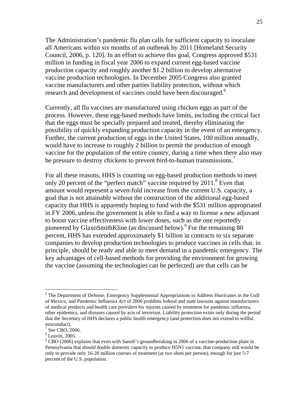The Administration's pandemic flu plan calls for sufficient capacity to inoculate all Americans within six months of an outbreak by 2011 [Homeland Security Council, 2006, p. 120]. In an effort to achieve this goal, Congress approved \$531 million in funding in fiscal year 2006 to expand current egg-based vaccine production capacity and roughly another \$1.2 billion to develop alternative vaccine production technologies. In December 2005 Congress also granted vaccine manufacturers and other parties liability protection, without which research and development of vaccines could have been discouraged.<sup>6</sup>

Currently, all flu vaccines are manufactured using chicken eggs as part of the process. However, these egg-based methods have limits, including the critical fact that the eggs must be specially prepared and treated, thereby eliminating the possibility of quickly expanding production capacity in the event of an emergency. Further, the current production of eggs in the United States, 100 million annually, would have to increase to roughly 2 billion to permit the production of enough vaccine for the population of the entire country, during a time when there also may be pressure to destroy chickens to prevent bird-to-human transmissions.<sup>7</sup>

For all these reasons, HHS is counting on egg-based production methods to meet only 20 percent of the "perfect match" vaccine required by 2011.<sup>8</sup> Even that amount would represent a seven-fold increase from the current U.S. capacity, a goal that is not attainable without the construction of the additional egg-based capacity that HHS is apparently hoping to fund with the \$531 million appropriated in FY 2006, unless the government is able to find a way to license a new adjuvant to boost vaccine effectiveness with lower doses, such as the one reportedly pioneered by GlaxoSmithKline (as discussed below). <sup>9</sup> For the remaining 80 percent, HHS has extended approximately \$1 billion in contracts to six separate companies to develop production technologies to produce vaccines in cells that, in principle, should be ready and able to meet demand in a pandemic emergency. The key advantages of cell-based methods for providing the environment for growing the vaccine (assuming the technologies can be perfected) are that cells can be

<sup>&</sup>lt;sup>6</sup> The Department of Defense, Emergency Supplemental Appropriations to Address Hurricanes in the Gulf of Mexico, and Pandemic Influenza Act of 2006 prohibits federal and state lawsuits against manufacturers of medical products and health care providers for injuries caused by treatment for pandemic influenza, other epidemics, and diseases caused by acts of terrorism. Liability protection exists only during the period that the Secretary of HHS declares a public health emergency (and protection does not extend to willful misconduct).

<sup>7</sup> See CBO, 2006.

<sup>8</sup> Leavitt, 2005.

 $9^9$  CBO (2006) explains that even with Sanofi's groundbreaking in 2006 of a vaccine-production plant in Pennsylvania that should double domestic capacity to produce H5N1 vaccine, that company still would be only to provide only 16-20 million courses of treatment (at two shots per person), enough for just 5-7 percent of the U.S. population.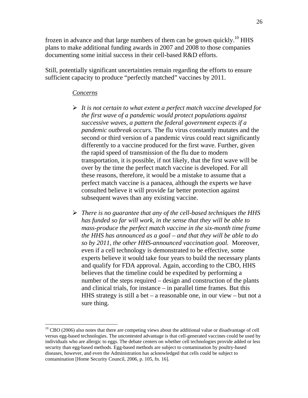frozen in advance and that large numbers of them can be grown quickly.<sup>10</sup> HHS plans to make additional funding awards in 2007 and 2008 to those companies documenting some initial success in their cell-based R&D efforts.

Still, potentially significant uncertainties remain regarding the efforts to ensure sufficient capacity to produce "perfectly matched" vaccines by 2011.

#### *Concerns*

- ¾ *It is not certain to what extent a perfect match vaccine developed for the first wave of a pandemic would protect populations against successive waves*, *a pattern the federal government expects if a pandemic outbreak occurs.* The flu virus constantly mutates and the second or third version of a pandemic virus could react significantly differently to a vaccine produced for the first wave. Further, given the rapid speed of transmission of the flu due to modern transportation, it is possible, if not likely, that the first wave will be over by the time the perfect match vaccine is developed. For all these reasons, therefore, it would be a mistake to assume that a perfect match vaccine is a panacea, although the experts we have consulted believe it will provide far better protection against subsequent waves than any existing vaccine.
- ¾ *There is no guarantee that any of the cell-based techniques the HHS has funded so far will work, in the sense that they will be able to mass-produce the perfect match vaccine in the six-month time frame the HHS has announced as a goal – and that they will be able to do so by 2011, the other HHS-announced vaccination goal.* Moreover, even if a cell technology is demonstrated to be effective, some experts believe it would take four years to build the necessary plants and qualify for FDA approval. Again, according to the CBO, HHS believes that the timeline could be expedited by performing a number of the steps required – design and construction of the plants and clinical trials, for instance – in parallel time frames. But this HHS strategy is still a bet – a reasonable one, in our view – but not a sure thing.

 $10$  CBO (2006) also notes that there are competing views about the additional value or disadvantage of cell versus egg-based technologies. The uncontested advantage is that cell-generated vaccines could be used by individuals who are allergic to eggs. The debate centers on whether cell technologies provide added or less security than egg-based methods. Egg-based methods are subject to contamination by poultry-based diseases, however, and even the Administration has acknowledged that cells could be subject to contamination [Home Security Council, 2006, p. 105, fn. 16].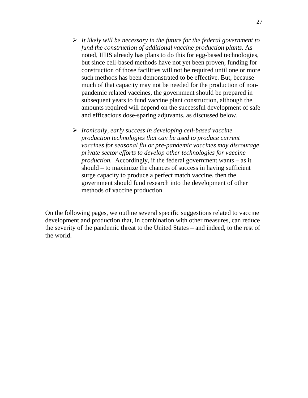- ¾ *It likely will be necessary in the future for the federal government to fund the construction of additional vaccine production plants.* As noted, HHS already has plans to do this for egg-based technologies, but since cell-based methods have not yet been proven, funding for construction of those facilities will not be required until one or more such methods has been demonstrated to be effective. But, because much of that capacity may not be needed for the production of nonpandemic related vaccines, the government should be prepared in subsequent years to fund vaccine plant construction, although the amounts required will depend on the successful development of safe and efficacious dose-sparing adjuvants, as discussed below.
- ¾ *Ironically, early success in developing cell-based vaccine production technologies that can be used to produce current vaccines for seasonal flu or pre-pandemic vaccines may discourage private sector efforts to develop other technologies for vaccine production.* Accordingly, if the federal government wants – as it should – to maximize the chances of success in having sufficient surge capacity to produce a perfect match vaccine, then the government should fund research into the development of other methods of vaccine production.

On the following pages, we outline several specific suggestions related to vaccine development and production that, in combination with other measures, can reduce the severity of the pandemic threat to the United States – and indeed, to the rest of the world.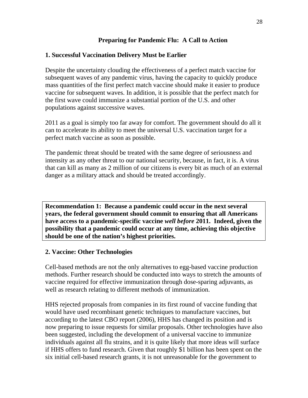# **Preparing for Pandemic Flu: A Call to Action**

# **1. Successful Vaccination Delivery Must be Earlier**

Despite the uncertainty clouding the effectiveness of a perfect match vaccine for subsequent waves of any pandemic virus, having the capacity to quickly produce mass quantities of the first perfect match vaccine should make it easier to produce vaccine for subsequent waves. In addition, it is possible that the perfect match for the first wave could immunize a substantial portion of the U.S. and other populations against successive waves.

2011 as a goal is simply too far away for comfort. The government should do all it can to accelerate its ability to meet the universal U.S. vaccination target for a perfect match vaccine as soon as possible.

The pandemic threat should be treated with the same degree of seriousness and intensity as any other threat to our national security, because, in fact, it is. A virus that can kill as many as 2 million of our citizens is every bit as much of an external danger as a military attack and should be treated accordingly.

**Recommendation 1: Because a pandemic could occur in the next several years, the federal government should commit to ensuring that all Americans have access to a pandemic-specific vaccine** *well before* **2011. Indeed, given the possibility that a pandemic could occur at any time, achieving this objective should be one of the nation's highest priorities.** 

# **2. Vaccine: Other Technologies**

Cell-based methods are not the only alternatives to egg-based vaccine production methods. Further research should be conducted into ways to stretch the amounts of vaccine required for effective immunization through dose-sparing adjuvants, as well as research relating to different methods of immunization.

HHS rejected proposals from companies in its first round of vaccine funding that would have used recombinant genetic techniques to manufacture vaccines, but according to the latest CBO report (2006), HHS has changed its position and is now preparing to issue requests for similar proposals. Other technologies have also been suggested, including the development of a universal vaccine to immunize individuals against all flu strains, and it is quite likely that more ideas will surface if HHS offers to fund research. Given that roughly \$1 billion has been spent on the six initial cell-based research grants, it is not unreasonable for the government to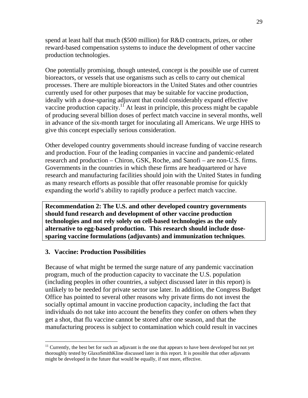spend at least half that much (\$500 million) for R&D contracts, prizes, or other reward-based compensation systems to induce the development of other vaccine production technologies.

One potentially promising, though untested, concept is the possible use of current bioreactors, or vessels that use organisms such as cells to carry out chemical processes. There are multiple bioreactors in the United States and other countries currently used for other purposes that may be suitable for vaccine production, ideally with a dose-sparing adjuvant that could considerably expand effective vaccine production capacity.<sup>11</sup> At least in principle, this process might be capable of producing several billion doses of perfect match vaccine in several months, well in advance of the six-month target for inoculating all Americans. We urge HHS to give this concept especially serious consideration.

Other developed country governments should increase funding of vaccine research and production. Four of the leading companies in vaccine and pandemic-related research and production – Chiron, GSK, Roche, and Sanofi – are non-U.S. firms. Governments in the countries in which these firms are headquartered or have research and manufacturing facilities should join with the United States in funding as many research efforts as possible that offer reasonable promise for quickly expanding the world's ability to rapidly produce a perfect match vaccine.

**Recommendation 2: The U.S. and other developed country governments should fund research and development of other vaccine production technologies and not rely solely on cell-based technologies as the only alternative to egg-based production. This research should include dosesparing vaccine formulations (adjuvants) and immunization techniques**.

# **3. Vaccine: Production Possibilities**

 $\overline{a}$ 

Because of what might be termed the surge nature of any pandemic vaccination program, much of the production capacity to vaccinate the U.S. population (including peoples in other countries, a subject discussed later in this report) is unlikely to be needed for private sector use later. In addition, the Congress Budget Office has pointed to several other reasons why private firms do not invest the socially optimal amount in vaccine production capacity, including the fact that individuals do not take into account the benefits they confer on others when they get a shot, that flu vaccine cannot be stored after one season, and that the manufacturing process is subject to contamination which could result in vaccines

<sup>&</sup>lt;sup>11</sup> Currently, the best bet for such an adjuvant is the one that appears to have been developed but not yet thoroughly tested by GlaxoSmithKline discussed later in this report. It is possible that other adjuvants might be developed in the future that would be equally, if not more, effective.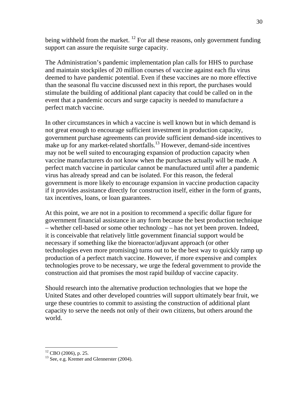being withheld from the market.  $^{12}$  For all these reasons, only government funding support can assure the requisite surge capacity.

The Administration's pandemic implementation plan calls for HHS to purchase and maintain stockpiles of 20 million courses of vaccine against each flu virus deemed to have pandemic potential. Even if these vaccines are no more effective than the seasonal flu vaccine discussed next in this report, the purchases would stimulate the building of additional plant capacity that could be called on in the event that a pandemic occurs and surge capacity is needed to manufacture a perfect match vaccine.

In other circumstances in which a vaccine is well known but in which demand is not great enough to encourage sufficient investment in production capacity, government purchase agreements can provide sufficient demand-side incentives to make up for any market-related shortfalls.<sup>13</sup> However, demand-side incentives may not be well suited to encouraging expansion of production capacity when vaccine manufacturers do not know when the purchases actually will be made. A perfect match vaccine in particular cannot be manufactured until after a pandemic virus has already spread and can be isolated. For this reason, the federal government is more likely to encourage expansion in vaccine production capacity if it provides assistance directly for construction itself, either in the form of grants, tax incentives, loans, or loan guarantees.

At this point, we are not in a position to recommend a specific dollar figure for government financial assistance in any form because the best production technique – whether cell-based or some other technology – has not yet been proven. Indeed, it is conceivable that relatively little government financial support would be necessary if something like the bioreactor/adjuvant approach (or other technologies even more promising) turns out to be the best way to quickly ramp up production of a perfect match vaccine. However, if more expensive and complex technologies prove to be necessary, we urge the federal government to provide the construction aid that promises the most rapid buildup of vaccine capacity.

Should research into the alternative production technologies that we hope the United States and other developed countries will support ultimately bear fruit, we urge these countries to commit to assisting the construction of additional plant capacity to serve the needs not only of their own citizens, but others around the world.

 $12$  CBO (2006), p. 25.

<sup>&</sup>lt;sup>13</sup> See, e.g. Kremer and Glennerster (2004).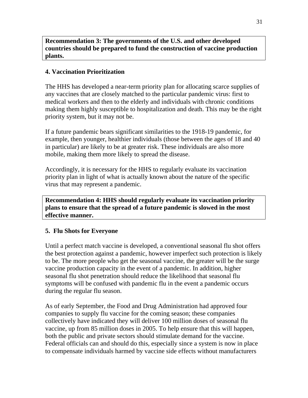**Recommendation 3: The governments of the U.S. and other developed countries should be prepared to fund the construction of vaccine production plants.** 

### **4. Vaccination Prioritization**

The HHS has developed a near-term priority plan for allocating scarce supplies of any vaccines that are closely matched to the particular pandemic virus: first to medical workers and then to the elderly and individuals with chronic conditions making them highly susceptible to hospitalization and death. This may be the right priority system, but it may not be.

If a future pandemic bears significant similarities to the 1918-19 pandemic, for example, then younger, healthier individuals (those between the ages of 18 and 40 in particular) are likely to be at greater risk. These individuals are also more mobile, making them more likely to spread the disease.

Accordingly, it is necessary for the HHS to regularly evaluate its vaccination priority plan in light of what is actually known about the nature of the specific virus that may represent a pandemic.

**Recommendation 4: HHS should regularly evaluate its vaccination priority plans to ensure that the spread of a future pandemic is slowed in the most effective manner.** 

### **5. Flu Shots for Everyone**

Until a perfect match vaccine is developed, a conventional seasonal flu shot offers the best protection against a pandemic, however imperfect such protection is likely to be. The more people who get the seasonal vaccine, the greater will be the surge vaccine production capacity in the event of a pandemic. In addition, higher seasonal flu shot penetration should reduce the likelihood that seasonal flu symptoms will be confused with pandemic flu in the event a pandemic occurs during the regular flu season.

As of early September, the Food and Drug Administration had approved four companies to supply flu vaccine for the coming season; these companies collectively have indicated they will deliver 100 million doses of seasonal flu vaccine, up from 85 million doses in 2005. To help ensure that this will happen, both the public and private sectors should stimulate demand for the vaccine. Federal officials can and should do this, especially since a system is now in place to compensate individuals harmed by vaccine side effects without manufacturers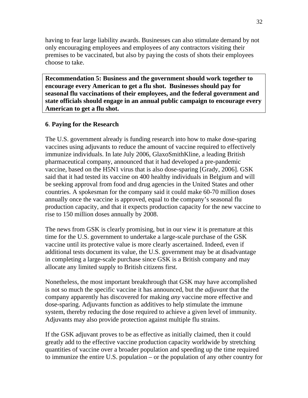having to fear large liability awards. Businesses can also stimulate demand by not only encouraging employees and employees of any contractors visiting their premises to be vaccinated, but also by paying the costs of shots their employees choose to take.

**Recommendation 5: Business and the government should work together to encourage every American to get a flu shot. Businesses should pay for seasonal flu vaccinations of their employees, and the federal government and state officials should engage in an annual public campaign to encourage every American to get a flu shot.** 

# **6**. **Paying for the Research**

The U.S. government already is funding research into how to make dose-sparing vaccines using adjuvants to reduce the amount of vaccine required to effectively immunize individuals. In late July 2006, GlaxoSmithKline, a leading British pharmaceutical company, announced that it had developed a pre-pandemic vaccine, based on the H5N1 virus that is also dose-sparing [Grady, 2006]. GSK said that it had tested its vaccine on 400 healthy individuals in Belgium and will be seeking approval from food and drug agencies in the United States and other countries. A spokesman for the company said it could make 60-70 million doses annually once the vaccine is approved, equal to the company's seasonal flu production capacity, and that it expects production capacity for the new vaccine to rise to 150 million doses annually by 2008.

The news from GSK is clearly promising, but in our view it is premature at this time for the U.S. government to undertake a large-scale purchase of the GSK vaccine until its protective value is more clearly ascertained. Indeed, even if additional tests document its value, the U.S. government may be at disadvantage in completing a large-scale purchase since GSK is a British company and may allocate any limited supply to British citizens first.

Nonetheless, the most important breakthrough that GSK may have accomplished is not so much the specific vaccine it has announced, but the *adjuvant* that the company apparently has discovered for making *any* vaccine more effective and dose-sparing. Adjuvants function as additives to help stimulate the immune system, thereby reducing the dose required to achieve a given level of immunity. Adjuvants may also provide protection against multiple flu strains.

If the GSK adjuvant proves to be as effective as initially claimed, then it could greatly add to the effective vaccine production capacity worldwide by stretching quantities of vaccine over a broader population and speeding up the time required to immunize the entire U.S. population – or the population of any other country for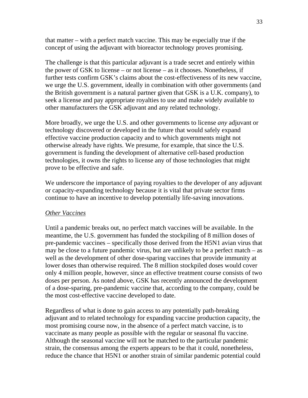that matter – with a perfect match vaccine. This may be especially true if the concept of using the adjuvant with bioreactor technology proves promising.

The challenge is that this particular adjuvant is a trade secret and entirely within the power of GSK to license – or not license – as it chooses. Nonetheless, if further tests confirm GSK's claims about the cost-effectiveness of its new vaccine, we urge the U.S. government, ideally in combination with other governments (and the British government is a natural partner given that GSK is a U.K. company), to seek a license and pay appropriate royalties to use and make widely available to other manufacturers the GSK adjuvant and any related technology.

More broadly, we urge the U.S. and other governments to license *any* adjuvant or technology discovered or developed in the future that would safely expand effective vaccine production capacity and to which governments might not otherwise already have rights. We presume, for example, that since the U.S. government is funding the development of alternative cell-based production technologies, it owns the rights to license any of those technologies that might prove to be effective and safe.

We underscore the importance of paying royalties to the developer of any adjuvant or capacity-expanding technology because it is vital that private sector firms continue to have an incentive to develop potentially life-saving innovations.

### *Other Vaccines*

Until a pandemic breaks out, no perfect match vaccines will be available. In the meantime, the U.S. government has funded the stockpiling of 8 million doses of pre-pandemic vaccines – specifically those derived from the H5N1 avian virus that may be close to a future pandemic virus, but are unlikely to be a perfect match – as well as the development of other dose-sparing vaccines that provide immunity at lower doses than otherwise required. The 8 million stockpiled doses would cover only 4 million people, however, since an effective treatment course consists of two doses per person. As noted above, GSK has recently announced the development of a dose-sparing, pre-pandemic vaccine that, according to the company, could be the most cost-effective vaccine developed to date.

Regardless of what is done to gain access to any potentially path-breaking adjuvant and to related technology for expanding vaccine production capacity, the most promising course now, in the absence of a perfect match vaccine, is to vaccinate as many people as possible with the regular or seasonal flu vaccine. Although the seasonal vaccine will not be matched to the particular pandemic strain, the consensus among the experts appears to be that it could, nonetheless, reduce the chance that H5N1 or another strain of similar pandemic potential could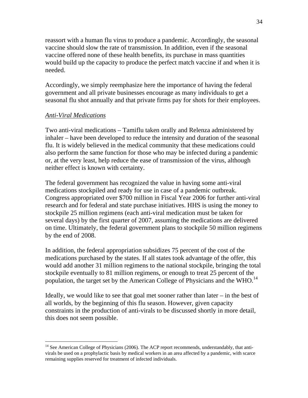reassort with a human flu virus to produce a pandemic. Accordingly, the seasonal vaccine should slow the rate of transmission. In addition, even if the seasonal vaccine offered none of these health benefits, its purchase in mass quantities would build up the capacity to produce the perfect match vaccine if and when it is needed.

Accordingly, we simply reemphasize here the importance of having the federal government and all private businesses encourage as many individuals to get a seasonal flu shot annually and that private firms pay for shots for their employees.

### *Anti-Viral Medications*

 $\overline{a}$ 

Two anti-viral medications – Tamiflu taken orally and Relenza administered by inhaler – have been developed to reduce the intensity and duration of the seasonal flu. It is widely believed in the medical community that these medications could also perform the same function for those who may be infected during a pandemic or, at the very least, help reduce the ease of transmission of the virus, although neither effect is known with certainty.

The federal government has recognized the value in having some anti-viral medications stockpiled and ready for use in case of a pandemic outbreak. Congress appropriated over \$700 million in Fiscal Year 2006 for further anti-viral research and for federal and state purchase initiatives. HHS is using the money to stockpile 25 million regimens (each anti-viral medication must be taken for several days) by the first quarter of 2007, assuming the medications are delivered on time. Ultimately, the federal government plans to stockpile 50 million regimens by the end of 2008.

In addition, the federal appropriation subsidizes 75 percent of the cost of the medications purchased by the states. If all states took advantage of the offer, this would add another 31 million regimens to the national stockpile, bringing the total stockpile eventually to 81 million regimens, or enough to treat 25 percent of the population, the target set by the American College of Physicians and the WHO.<sup>14</sup>

Ideally, we would like to see that goal met sooner rather than later – in the best of all worlds, by the beginning of this flu season. However, given capacity constraints in the production of anti-virals to be discussed shortly in more detail, this does not seem possible.

<sup>&</sup>lt;sup>14</sup> See American College of Physicians (2006). The ACP report recommends, understandably, that antivirals be used on a prophylactic basis by medical workers in an area affected by a pandemic, with scarce remaining supplies reserved for treatment of infected individuals.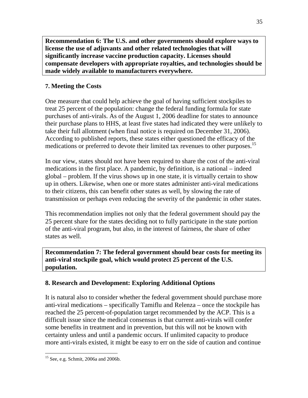**Recommendation 6: The U.S. and other governments should explore ways to license the use of adjuvants and other related technologies that will significantly increase vaccine production capacity. Licenses should compensate developers with appropriate royalties, and technologies should be made widely available to manufacturers everywhere.**

# **7. Meeting the Costs**

One measure that could help achieve the goal of having sufficient stockpiles to treat 25 percent of the population: change the federal funding formula for state purchases of anti-virals. As of the August 1, 2006 deadline for states to announce their purchase plans to HHS, at least five states had indicated they were unlikely to take their full allotment (when final notice is required on December 31, 2006). According to published reports, these states either questioned the efficacy of the medications or preferred to devote their limited tax revenues to other purposes.<sup>15</sup>

In our view, states should not have been required to share the cost of the anti-viral medications in the first place. A pandemic, by definition, is a national – indeed global – problem. If the virus shows up in one state, it is virtually certain to show up in others. Likewise, when one or more states administer anti-viral medications to their citizens, this can benefit other states as well, by slowing the rate of transmission or perhaps even reducing the severity of the pandemic in other states.

This recommendation implies not only that the federal government should pay the 25 percent share for the states deciding not to fully participate in the state portion of the anti-viral program, but also, in the interest of fairness, the share of other states as well.

**Recommendation 7: The federal government should bear costs for meeting its anti-viral stockpile goal, which would protect 25 percent of the U.S. population.**

# **8. Research and Development: Exploring Additional Options**

It is natural also to consider whether the federal government should purchase more anti-viral medications – specifically Tamiflu and Relenza – once the stockpile has reached the 25 percent-of-population target recommended by the ACP. This is a difficult issue since the medical consensus is that current anti-virals will confer some benefits in treatment and in prevention, but this will not be known with certainty unless and until a pandemic occurs. If unlimited capacity to produce more anti-virals existed, it might be easy to err on the side of caution and continue

<sup>15</sup> See, e.g. Schmit, 2006a and 2006b.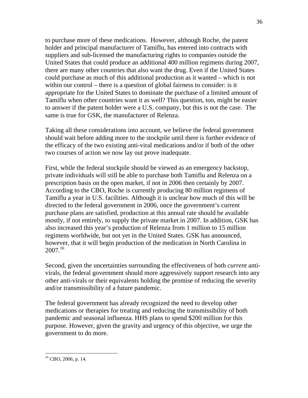to purchase more of these medications. However, although Roche, the patent holder and principal manufacturer of Tamiflu, has entered into contracts with suppliers and sub-licensed the manufacturing rights to companies outside the United States that could produce an additional 400 million regimens during 2007, there are many other countries that also want the drug. Even if the United States could purchase as much of this additional production as it wanted – which is not within our control – there is a question of global fairness to consider: is it appropriate for the United States to dominate the purchase of a limited amount of Tamiflu when other countries want it as well? This question, too, might be easier to answer if the patent holder were a U.S. company, but this is not the case. The same is true for GSK, the manufacturer of Relenza.

Taking all these considerations into account, we believe the federal government should wait before adding more to the stockpile until there is further evidence of the efficacy of the two existing anti-viral medications and/or if both of the other two courses of action we now lay out prove inadequate.

First, while the federal stockpile should be viewed as an emergency backstop, private individuals will still be able to purchase both Tamiflu and Relenza on a prescription basis on the open market, if not in 2006 then certainly by 2007. According to the CBO, Roche is currently producing 80 million regimens of Tamiflu a year in U.S. facilities. Although it is unclear how much of this will be directed to the federal government in 2006, once the government's current purchase plans are satisfied, production at this annual rate should be available mostly, if not entirely, to supply the private market in 2007. In addition, GSK has also increased this year's production of Relenza from 1 million to 15 million regimens worldwide, but not yet in the United States. GSK has announced, however, that it will begin production of the medication in North Carolina in  $2007^{16}$ 

Second, given the uncertainties surrounding the effectiveness of both *current* antivirals, the federal government should more aggressively support research into any other anti-virals or their equivalents holding the promise of reducing the severity and/or transmissibility of a future pandemic.

The federal government has already recognized the need to develop other medications or therapies for treating and reducing the transmissibility of both pandemic and seasonal influenza. HHS plans to spend \$200 million for this purpose. However, given the gravity and urgency of this objective, we urge the government to do more.

<sup>16</sup> CBO, 2006, p. 14.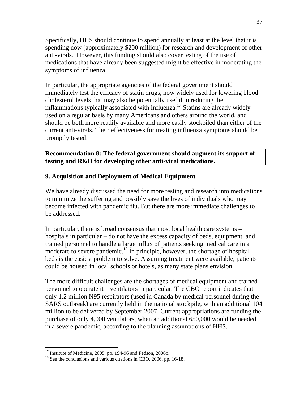Specifically, HHS should continue to spend annually at least at the level that it is spending now (approximately \$200 million) for research and development of other anti-virals. However, this funding should also cover testing of the use of medications that have already been suggested might be effective in moderating the symptoms of influenza.

In particular, the appropriate agencies of the federal government should immediately test the efficacy of statin drugs, now widely used for lowering blood cholesterol levels that may also be potentially useful in reducing the inflammations typically associated with influenza.<sup>17</sup> Statins are already widely used on a regular basis by many Americans and others around the world, and should be both more readily available and more easily stockpiled than either of the current anti-virals. Their effectiveness for treating influenza symptoms should be promptly tested.

**Recommendation 8: The federal government should augment its support of testing and R&D for developing other anti-viral medications.** 

# **9. Acquisition and Deployment of Medical Equipment**

We have already discussed the need for more testing and research into medications to minimize the suffering and possibly save the lives of individuals who may become infected with pandemic flu. But there are more immediate challenges to be addressed.

In particular, there is broad consensus that most local health care systems – hospitals in particular – do not have the excess capacity of beds, equipment, and trained personnel to handle a large influx of patients seeking medical care in a moderate to severe pandemic.<sup>18</sup> In principle, however, the shortage of hospital beds is the easiest problem to solve. Assuming treatment were available, patients could be housed in local schools or hotels, as many state plans envision.

The more difficult challenges are the shortages of medical equipment and trained personnel to operate it – ventilators in particular. The CBO report indicates that only 1.2 million N95 respirators (used in Canada by medical personnel during the SARS outbreak) are currently held in the national stockpile, with an additional 104 million to be delivered by September 2007. Current appropriations are funding the purchase of only 4,000 ventilators, when an additional 650,000 would be needed in a severe pandemic, according to the planning assumptions of HHS.

 $\overline{a}$  $17$  Institute of Medicine, 2005, pp. 194-96 and Fedson, 2006b.

<sup>&</sup>lt;sup>18</sup> See the conclusions and various citations in CBO, 2006, pp. 16-18.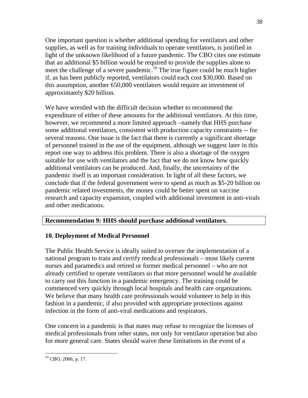One important question is whether additional spending for ventilators and other supplies, as well as for training individuals to operate ventilators, is justified in light of the unknown likelihood of a future pandemic. The CBO cites one estimate that an additional \$5 billion would be required to provide the supplies alone to meet the challenge of a severe pandemic.<sup>19</sup> The true figure could be much higher if, as has been publicly reported, ventilators could each cost \$30,000. Based on this assumption, another 650,000 ventilators would require an investment of approximately \$20 billion.

We have wrestled with the difficult decision whether to recommend the expenditure of either of these amounts for the additional ventilators. At this time, however, we recommend a more limited approach –namely that HHS purchase some additional ventilators, consistent with production capacity constraints -- for several reasons. One issue is the fact that there is currently a significant shortage of personnel trained in the use of the equipment, although we suggest later in this report one way to address this problem. There is also a shortage of the oxygen suitable for use with ventilators and the fact that we do not know how quickly additional ventilators can be produced. And, finally, the uncertainty of the pandemic itself is an important consideration. In light of all these factors, we conclude that if the federal government were to spend as much as \$5-20 billion on pandemic related investments, the money could be better spent on vaccine research and capacity expansion, coupled with additional investment in anti-virals and other medications.

# **Recommendation 9: HHS should purchase additional ventilators.**

# **10. Deployment of Medical Personnel**

The Public Health Service is ideally suited to oversee the implementation of a national program to train and certify medical professionals – most likely current nurses and paramedics and retired or former medical personnel – who are not already certified to operate ventilators so that more personnel would be available to carry out this function in a pandemic emergency. The training could be commenced very quickly through local hospitals and health care organizations. We believe that many health care professionals would volunteer to help in this fashion in a pandemic, if also provided with appropriate protections against infection in the form of anti-viral medications and respirators.

One concern in a pandemic is that states may refuse to recognize the licenses of medical professionals from other states, not only for ventilator operation but also for more general care. States should waive these limitations in the event of a

 $\overline{a}$  $19$  CBO, 2006, p. 17.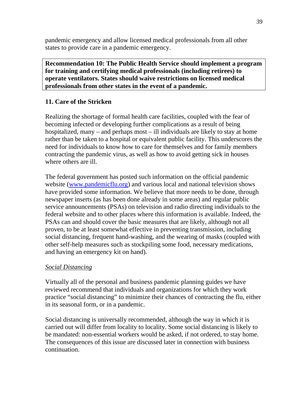pandemic emergency and allow licensed medical professionals from all other states to provide care in a pandemic emergency.

**Recommendation 10: The Public Health Service should implement a program for training and certifying medical professionals (including retirees) to operate ventilators. States should waive restrictions on licensed medical professionals from other states in the event of a pandemic.** 

# **11. Care of the Stricken**

Realizing the shortage of formal health care facilities, coupled with the fear of becoming infected or developing further complications as a result of being hospitalized, many – and perhaps most – ill individuals are likely to stay at home rather than be taken to a hospital or equivalent public facility. This underscores the need for individuals to know how to care for themselves and for family members contracting the pandemic virus, as well as how to avoid getting sick in houses where others are ill.

The federal government has posted such information on the official pandemic website (www.pandemicflu.org) and various local and national television shows have provided some information. We believe that more needs to be done, through newspaper inserts (as has been done already in some areas) and regular public service announcements (PSAs) on television and radio directing individuals to the federal website and to other places where this information is available. Indeed, the PSAs can and should cover the basic measures that are likely, although not all proven, to be at least somewhat effective in preventing transmission, including social distancing, frequent hand-washing, and the wearing of masks (coupled with other self-help measures such as stockpiling some food, necessary medications, and having an emergency kit on hand).

# *Social Distancing*

Virtually all of the personal and business pandemic planning guides we have reviewed recommend that individuals and organizations for which they work practice "social distancing" to minimize their chances of contracting the flu, either in its seasonal form, or in a pandemic.

Social distancing is universally recommended, although the way in which it is carried out will differ from locality to locality. Some social distancing is likely to be mandated: non-essential workers would be asked, if not ordered, to stay home. The consequences of this issue are discussed later in connection with business continuation.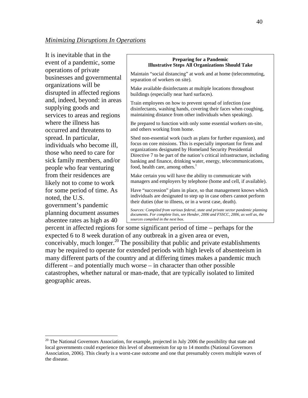It is inevitable that in the event of a pandemic, some operations of private businesses and governmental organizations will be disrupted in affected regions and, indeed, beyond: in areas supplying goods and services to areas and regions where the illness has occurred and threatens to spread. In particular, individuals who become ill, those who need to care for sick family members, and/or people who fear venturing from their residences are likely not to come to work for some period of time. As noted, the U.S. government's pandemic planning document assumes absentee rates as high as 40

 $\overline{a}$ 

#### **Preparing for a Pandemic Illustrative Steps All Organizations Should Take**

Maintain "social distancing" at work and at home (telecommuting, separation of workers on site).

Make available disinfectants at multiple locations throughout buildings (especially near hard surfaces).

Train employees on how to prevent spread of infection (use disinfectants, washing hands, covering their faces when coughing, maintaining distance from other individuals when speaking).

Be prepared to function with only some essential workers on-site, and others working from home.

Shed non-essential work (such as plans for further expansion), and focus on core missions. This is especially important for firms and organizations designated by Homeland Security Presidential Directive 7 to be part of the nation's critical infrastructure, including banking and finance, drinking water, energy, telecommunications, food, health care, among others.<sup>1</sup>

Make certain you will have the ability to communicate with managers and employers by telephone (home and cell, if available).

Have "succession" plans in place, so that management knows which individuals are designated to step up in case others cannot perform their duties (due to illness, or in a worst case, death).

*Sources: Compiled from various federal, state and private sector pandemic planning documents. For complete lists, see Hender, 2006 and FSSCC, 2006, as well as, the sources compiled in the next box.*

percent in affected regions for some significant period of time – perhaps for the expected 6 to 8 week duration of any outbreak in a given area or even, conceivably, much longer.<sup>20</sup> The possibility that public and private establishments may be required to operate for extended periods with high levels of absenteeism in many different parts of the country and at differing times makes a pandemic much different – and potentially much worse – in character than other possible catastrophes, whether natural or man-made, that are typically isolated to limited geographic areas.

<sup>&</sup>lt;sup>20</sup> The National Governors Association, for example, projected in July 2006 the possibility that state and local governments could experience this level of absenteeism for up to 14 months (National Governors Association, 2006). This clearly is a worst-case outcome and one that presumably covers multiple waves of the disease.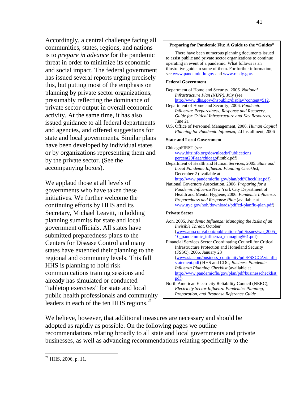Accordingly, a central challenge facing all communities, states, regions, and nations is to *prepare in advance* for the pandemic threat in order to minimize its economic and social impact. The federal government has issued several reports urging precisely this, but putting most of the emphasis on planning by private sector organizations, presumably reflecting the dominance of private sector output in overall economic activity. At the same time, it has also issued guidance to all federal departments and agencies, and offered suggestions for state and local governments. Similar plans have been developed by individual states or by organizations representing them and by the private sector. (See the accompanying boxes).

We applaud those at all levels of governments who have taken these initiatives. We further welcome the continuing efforts by HHS and its Secretary, Michael Leavitt, in holding planning summits for state and local government officials. All states have submitted preparedness plans to the Centers for Disease Control and many states have extended their planning to the regional and community levels. This fall HHS is planning to hold risk communications training sessions and already has simulated or conducted "tabletop exercises" for state and local public health professionals and community leaders in each of the ten HHS regions. $^{21}$ 

#### **Preparing for Pandemic Flu: A Guide to the "Guides"**

 There have been numerous planning documents issued to assist public and private sector organizations to continue operating in event of a pandemic. What follows is an illustrative guide to some of them. For further information, see www.pandemicflu.gov and www.ready.gov.

#### **Federal Government**

| Department of Homeland Security, 2006. National   |
|---------------------------------------------------|
| <i>Infrastructure Plan (NIPP)</i> , July (see     |
| http://www.dhs.gov/dhspublic/display?content=512. |

- Department of Homeland Security, 2006. *Pandemic Influenza: Preparedness, Response and Recovery, Guide for Critical Infrastructure and Key Resources*, June 21
- U.S. Office of Personnel Management, 2006. *Human Capital Planning for Pandemic Influenza*, 2d Installment, 2006

### **State and Local Government**

| мане апи тосаг стоуегшпенн                                  |
|-------------------------------------------------------------|
| ChicagoFIRST (see                                           |
| www.bitsinfo.org/downloads/Publications                     |
| percent20Page/chicagofirstbk.pdf).                          |
| Department of Health and Human Services, 2005. State and    |
| Local Pandemic Influenza Planning Checklist,                |
| December 2 (available at                                    |
| http://www.pandemicflu.gov/plan/pdf/Checklist.pdf)          |
| National Governors Association, 2006. Preparing for a       |
| Pandemic Influenza New York City Department of              |
| Health and Mental Hygiene, 2006. Pandemic Influenza:        |
| Preparedness and Response Plan (available at                |
| www.nyc.gov/hoh/downloads/pdf/cd-planflu-plan.pdf)          |
| <b>Private Sector</b>                                       |
| Aon, 2005. Pandemic Influenza: Managing the Risks of an     |
| Invisible Threat, October                                   |
| <u>(www.aon.com/about/publications/pdf/issues/wp_2005</u>   |
| 10 pandemmic influenza managing 561.pdf)                    |
| Financial Services Sector Coordinating Council for Critical |
| <b>Infrastructure Protection and Homeland Security</b>      |
| (FSSC), 2006, January 23                                    |
| (www.sia.com/business_continuity/pdf/FSSCCAvianflu          |
| statement.pdf) HHS and CDC, Business Pandemic               |
| Influenza Planning Checklist (available at                  |
| http://www.pandemicflu/gov/plan/pdf/businesschecklist.      |
| pdf)                                                        |
| North American Electricity Reliability Council (NERC).      |

North American Electricity Reliability Council (NERC), *Electricity Sector Influenza Pandemic: Planning, Preparation, and Response Reference Guide*

We believe, however, that additional measures are necessary and should be adopted as rapidly as possible. On the following pages we outline recommendations relating broadly to all state and local governments and private businesses, as well as advancing recommendations relating specifically to the

 $21$  HHS, 2006, p. 11.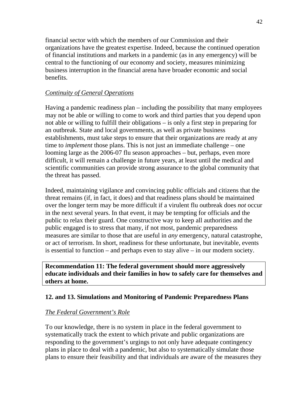financial sector with which the members of our Commission and their organizations have the greatest expertise. Indeed, because the continued operation of financial institutions and markets in a pandemic (as in any emergency) will be central to the functioning of our economy and society, measures minimizing business interruption in the financial arena have broader economic and social benefits.

# *Continuity of General Operations*

Having a pandemic readiness plan – including the possibility that many employees may not be able or willing to come to work and third parties that you depend upon not able or willing to fulfill their obligations – is only a first step in preparing for an outbreak. State and local governments, as well as private business establishments, must take steps to ensure that their organizations are ready at any time to *implement* those plans. This is not just an immediate challenge – one looming large as the 2006-07 flu season approaches – but, perhaps, even more difficult, it will remain a challenge in future years, at least until the medical and scientific communities can provide strong assurance to the global community that the threat has passed.

Indeed, maintaining vigilance and convincing public officials and citizens that the threat remains (if, in fact, it does) and that readiness plans should be maintained over the longer term may be more difficult if a virulent flu outbreak does *not* occur in the next several years. In that event, it may be tempting for officials and the public to relax their guard. One constructive way to keep all authorities and the public engaged is to stress that many, if not most, pandemic preparedness measures are similar to those that are useful in *any* emergency, natural catastrophe, or act of terrorism. In short, readiness for these unfortunate, but inevitable, events is essential to function – and perhaps even to stay alive – in our modern society.

**Recommendation 11: The federal government should more aggressively educate individuals and their families in how to safely care for themselves and others at home.** 

# **12. and 13. Simulations and Monitoring of Pandemic Preparedness Plans**

# *The Federal Government's Role*

To our knowledge, there is no system in place in the federal government to systematically track the extent to which private and public organizations are responding to the government's urgings to not only have adequate contingency plans in place to deal with a pandemic, but also to systematically simulate those plans to ensure their feasibility and that individuals are aware of the measures they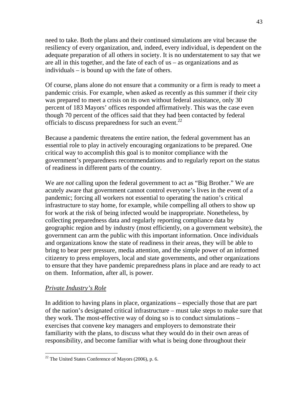need to take. Both the plans and their continued simulations are vital because the resiliency of every organization, and, indeed, every individual, is dependent on the adequate preparation of all others in society. It is no understatement to say that we are all in this together, and the fate of each of us – as organizations and as individuals – is bound up with the fate of others.

Of course, plans alone do not ensure that a community or a firm is ready to meet a pandemic crisis. For example, when asked as recently as this summer if their city was prepared to meet a crisis on its own without federal assistance, only 30 percent of 183 Mayors' offices responded affirmatively. This was the case even though 70 percent of the offices said that they had been contacted by federal officials to discuss preparedness for such an event.22

Because a pandemic threatens the entire nation, the federal government has an essential role to play in actively encouraging organizations to be prepared. One critical way to accomplish this goal is to monitor compliance with the government's preparedness recommendations and to regularly report on the status of readiness in different parts of the country.

We are *not* calling upon the federal government to act as "Big Brother." We are acutely aware that government cannot control everyone's lives in the event of a pandemic; forcing all workers not essential to operating the nation's critical infrastructure to stay home, for example, while compelling all others to show up for work at the risk of being infected would be inappropriate. Nonetheless, by collecting preparedness data and regularly reporting compliance data by geographic region and by industry (most efficiently, on a government website), the government can arm the public with this important information. Once individuals and organizations know the state of readiness in their areas, they will be able to bring to bear peer pressure, media attention, and the simple power of an informed citizenry to press employers, local and state governments, and other organizations to ensure that they have pandemic preparedness plans in place and are ready to act on them. Information, after all, is power.

### *Private Industry's Role*

 $\overline{a}$ 

In addition to having plans in place, organizations – especially those that are part of the nation's designated critical infrastructure – must take steps to make sure that they work. The most-effective way of doing so is to conduct simulations – exercises that convene key managers and employers to demonstrate their familiarity with the plans, to discuss what they would do in their own areas of responsibility, and become familiar with what is being done throughout their

<sup>22</sup> The United States Conference of Mayors (2006), p. 6.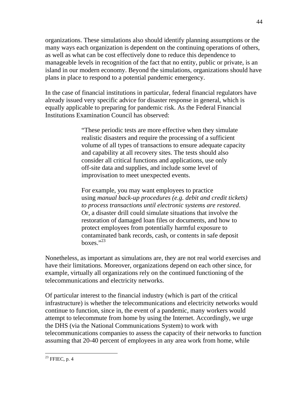organizations. These simulations also should identify planning assumptions or the many ways each organization is dependent on the continuing operations of others, as well as what can be cost effectively done to reduce this dependence to manageable levels in recognition of the fact that no entity, public or private, is an island in our modern economy. Beyond the simulations, organizations should have plans in place to respond to a potential pandemic emergency.

In the case of financial institutions in particular, federal financial regulators have already issued very specific advice for disaster response in general, which is equally applicable to preparing for pandemic risk. As the Federal Financial Institutions Examination Council has observed:

> "These periodic tests are more effective when they simulate realistic disasters and require the processing of a sufficient volume of all types of transactions to ensure adequate capacity and capability at all recovery sites. The tests should also consider all critical functions and applications, use only off-site data and supplies, and include some level of improvisation to meet unexpected events.

For example, you may want employees to practice using *manual back-up procedures (e.g. debit and credit tickets) to process transactions until electronic systems are restored*. Or, a disaster drill could simulate situations that involve the restoration of damaged loan files or documents, and how to protect employees from potentially harmful exposure to contaminated bank records, cash, or contents in safe deposit boxes." $^{32}$ 

Nonetheless, as important as simulations are, they are not real world exercises and have their limitations. Moreover, organizations depend on each other since, for example, virtually all organizations rely on the continued functioning of the telecommunications and electricity networks.

Of particular interest to the financial industry (which is part of the critical infrastructure) is whether the telecommunications and electricity networks would continue to function, since in, the event of a pandemic, many workers would attempt to telecommute from home by using the Internet. Accordingly, we urge the DHS (via the National Communications System) to work with telecommunications companies to assess the capacity of their networks to function assuming that 20-40 percent of employees in any area work from home, while

 $^{23}$  FFIEC, p. 4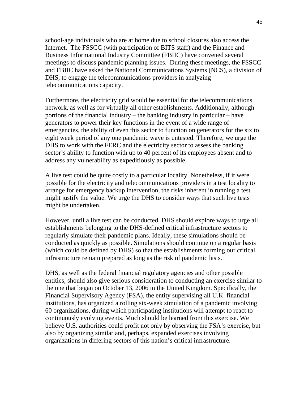school-age individuals who are at home due to school closures also access the Internet. The FSSCC (with participation of BITS staff) and the Finance and Business Informational Industry Committee (FBIIC) have convened several meetings to discuss pandemic planning issues. During these meetings, the FSSCC and FBIIC have asked the National Communications Systems (NCS), a division of DHS, to engage the telecommunications providers in analyzing telecommunications capacity.

Furthermore, the electricity grid would be essential for the telecommunications network, as well as for virtually all other establishments. Additionally, although portions of the financial industry – the banking industry in particular – have generators to power their key functions in the event of a wide range of emergencies, the ability of even this sector to function on generators for the six to eight week period of any one pandemic wave is untested. Therefore, we urge the DHS to work with the FERC and the electricity sector to assess the banking sector's ability to function with up to 40 percent of its employees absent and to address any vulnerability as expeditiously as possible.

A live test could be quite costly to a particular locality. Nonetheless, if it were possible for the electricity and telecommunications providers in a test locality to arrange for emergency backup intervention, the risks inherent in running a test might justify the value. We urge the DHS to consider ways that such live tests might be undertaken.

However, until a live test can be conducted, DHS should explore ways to urge all establishments belonging to the DHS-defined critical infrastructure sectors to regularly simulate their pandemic plans. Ideally, these simulations should be conducted as quickly as possible. Simulations should continue on a regular basis (which could be defined by DHS) so that the establishments forming our critical infrastructure remain prepared as long as the risk of pandemic lasts.

DHS, as well as the federal financial regulatory agencies and other possible entities, should also give serious consideration to conducting an exercise similar to the one that began on October 13, 2006 in the United Kingdom. Specifically, the Financial Supervisory Agency (FSA), the entity supervising all U.K. financial institutions, has organized a rolling six-week simulation of a pandemic involving 60 organizations, during which participating institutions will attempt to react to continuously evolving events. Much should be learned from this exercise. We believe U.S. authorities could profit not only by observing the FSA's exercise, but also by organizing similar and, perhaps, expanded exercises involving organizations in differing sectors of this nation's critical infrastructure.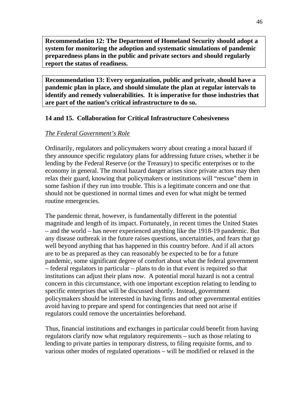**Recommendation 12: The Department of Homeland Security should adopt a system for monitoring the adoption and systematic simulations of pandemic preparedness plans in the public and private sectors and should regularly report the status of readiness.** 

**Recommendation 13: Every organization, public and private, should have a pandemic plan in place, and should simulate the plan at regular intervals to identify and remedy vulnerabilities. It is imperative for those industries that are part of the nation's critical infrastructure to do so.** 

# **14 and 15. Collaboration for Critical Infrastructure Cohesiveness**

# *The Federal Government's Role*

Ordinarily, regulators and policymakers worry about creating a moral hazard if they announce specific regulatory plans for addressing future crises, whether it be lending by the Federal Reserve (or the Treasury) to specific enterprises or to the economy in general. The moral hazard danger arises since private actors may then relax their guard, knowing that policymakers or institutions will "rescue" them in some fashion if they run into trouble. This is a legitimate concern and one that should not be questioned in normal times and even for what might be termed routine emergencies.

The pandemic threat, however, is fundamentally different in the potential magnitude and length of its impact. Fortunately, in recent times the United States – and the world – has never experienced anything like the 1918-19 pandemic. But any disease outbreak in the future raises questions, uncertainties, and fears that go well beyond anything that has happened in this country before. And if all actors are to be as prepared as they can reasonably be expected to be for a future pandemic, some significant degree of comfort about what the federal government – federal regulators in particular – plans to do in that event is required so that institutions can adjust their plans *now*. A potential moral hazard is not a central concern in this circumstance, with one important exception relating to lending to specific enterprises that will be discussed shortly. Instead, government policymakers should be interested in having firms and other governmental entities avoid having to prepare and spend for contingencies that need not arise if regulators could remove the uncertainties beforehand.

Thus, financial institutions and exchanges in particular could benefit from having regulators clarify now what regulatory requirements – such as those relating to lending to private parties in temporary distress, to filing requisite forms, and to various other modes of regulated operations – will be modified or relaxed in the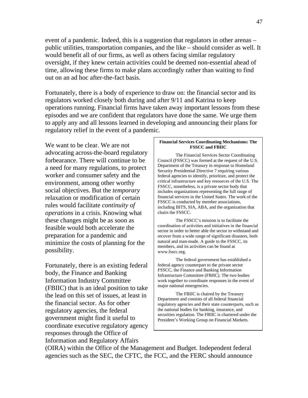event of a pandemic. Indeed, this is a suggestion that regulators in other arenas – public utilities, transportation companies, and the like – should consider as well. It would benefit all of our firms, as well as others facing similar regulatory oversight, if they knew certain activities could be deemed non-essential ahead of time, allowing these firms to make plans accordingly rather than waiting to find out on an ad hoc after-the-fact basis.

Fortunately, there is a body of experience to draw on: the financial sector and its regulators worked closely both during and after 9/11 and Katrina to keep operations running. Financial firms have taken away important lessons from these episodes and we are confident that regulators have done the same. We urge them to apply any and all lessons learned in developing and announcing their plans for regulatory relief in the event of a pandemic.

We want to be clear. We are not advocating across-the-board regulatory forbearance. There will continue to be a need for many regulations, to protect worker and consumer safety and the environment, among other worthy social objectives. But the *temporary* relaxation or modification of certain rules would facilitate *continuity of operations* in a crisis. Knowing what these changes might be as soon as feasible would both accelerate the preparation for a pandemic and minimize the costs of planning for the possibility.

Fortunately, there is an existing federal body, the Finance and Banking Information Industry Committee (FBIIC) that is an ideal position to take the lead on this set of issues, at least in the financial sector. As for other regulatory agencies, the federal government might find it useful to coordinate executive regulatory agency responses through the Office of Information and Regulatory Affairs

#### **Financial Services Coordinating Mechanisms: The FSSCC and FBIIC**

 The Financial Services Sector Coordinating Council (FSSCC) was formed at the request of the U.S. Department of the Treasury in response to Homeland Security Presidential Directive 7 requiring various federal agencies to identify, prioritize, and protect the critical infrastructure and key resources of the U.S. The FSSCC, nonetheless, is a private sector body that includes organizations representing the full range of financial services in the United States. The work of the FSSCC is conducted by member associations, including BITS, SIA, ABA, and the organization that chairs the FSSCC.

The FSSCC's mission is to facilitate the coordination of activities and initiatives in the financial sector in order to better able the sector to withstand and recover from a wide range of significant disasters, both natural and man-made. A guide to the FSSCC, its members, and its activities can be found at www.fsscc.org.

 The federal government has established a federal agency counterpart to the private sector FSSCC, the Finance and Banking Information Infrastructure Committee (FBIIC). The two bodies work together to coordinate responses in the event of major national emergencies.

 The FBIIC is chaired by the Treasury Department and consists of all federal financial regulatory agencies and their state counterparts, such as the national bodies for banking, insurance, and securities regulation. The FBIIC is chartered under the President's Working Group on Financial Markets.

(OIRA) within the Office of the Management and Budget. Independent federal agencies such as the SEC, the CFTC, the FCC, and the FERC should announce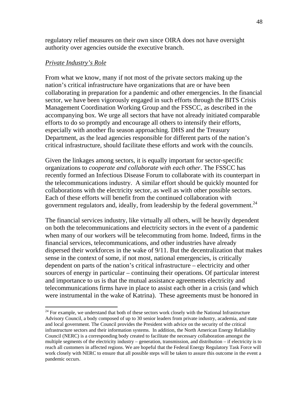regulatory relief measures on their own since OIRA does not have oversight authority over agencies outside the executive branch.

#### *Private Industry's Role*

 $\overline{a}$ 

From what we know, many if not most of the private sectors making up the nation's critical infrastructure have organizations that are or have been collaborating in preparation for a pandemic and other emergencies. In the financial sector, we have been vigorously engaged in such efforts through the BITS Crisis Management Coordination Working Group and the FSSCC, as described in the accompanying box. We urge all sectors that have not already initiated comparable efforts to do so promptly and encourage all others to intensify their efforts, especially with another flu season approaching. DHS and the Treasury Department, as the lead agencies responsible for different parts of the nation's critical infrastructure, should facilitate these efforts and work with the councils.

Given the linkages among sectors, it is equally important for sector-specific organizations to *cooperate and collaborate with each other*. The FSSCC has recently formed an Infectious Disease Forum to collaborate with its counterpart in the telecommunications industry. A similar effort should be quickly mounted for collaborations with the electricity sector, as well as with other possible sectors. Each of these efforts will benefit from the continued collaboration with government regulators and, ideally, from leadership by the federal government.<sup>24</sup>

The financial services industry, like virtually all others, will be heavily dependent on both the telecommunications and electricity sectors in the event of a pandemic when many of our workers will be telecommuting from home. Indeed, firms in the financial services, telecommunications, and other industries have already dispersed their workforces in the wake of 9/11. But the decentralization that makes sense in the context of some, if not most, national emergencies, is critically dependent on parts of the nation's critical infrastructure – electricity and other sources of energy in particular – continuing their operations. Of particular interest and importance to us is that the mutual assistance agreements electricity and telecommunications firms have in place to assist each other in a crisis (and which were instrumental in the wake of Katrina). These agreements must be honored in

<sup>&</sup>lt;sup>24</sup> For example, we understand that both of these sectors work closely with the National Infrastructure Advisory Council, a body composed of up to 30 senior leaders from private industry, academia, and state and local government. The Council provides the President with advice on the security of the critical infrastructure sectors and their information systems. In addition, the North American Energy Reliability Council (NERC) is a corresponding body created to facilitate the necessary collaboration amongst the multiple segments of the electricity industry – generation, transmission, and distribution – if electricity is to reach all customers in affected regions. We are hopeful that the Federal Energy Regulatory Task Force will work closely with NERC to ensure that all possible steps will be taken to assure this outcome in the event a pandemic occurs.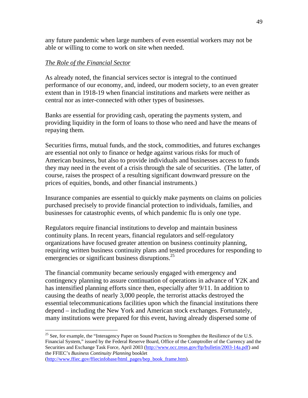any future pandemic when large numbers of even essential workers may not be able or willing to come to work on site when needed.

### *The Role of the Financial Sector*

As already noted, the financial services sector is integral to the continued performance of our economy, and, indeed, our modern society, to an even greater extent than in 1918-19 when financial institutions and markets were neither as central nor as inter-connected with other types of businesses.

Banks are essential for providing cash, operating the payments system, and providing liquidity in the form of loans to those who need and have the means of repaying them.

Securities firms, mutual funds, and the stock, commodities, and futures exchanges are essential not only to finance or hedge against various risks for much of American business, but also to provide individuals and businesses access to funds they may need in the event of a crisis through the sale of securities. (The latter, of course, raises the prospect of a resulting significant downward pressure on the prices of equities, bonds, and other financial instruments.)

Insurance companies are essential to quickly make payments on claims on policies purchased precisely to provide financial protection to individuals, families, and businesses for catastrophic events, of which pandemic flu is only one type.

Regulators require financial institutions to develop and maintain business continuity plans. In recent years, financial regulators and self-regulatory organizations have focused greater attention on business continuity planning, requiring written business continuity plans and tested procedures for responding to emergencies or significant business disruptions.<sup>25</sup>

The financial community became seriously engaged with emergency and contingency planning to assure continuation of operations in advance of Y2K and has intensified planning efforts since then, especially after 9/11. In addition to causing the deaths of nearly 3,000 people, the terrorist attacks destroyed the essential telecommunications facilities upon which the financial institutions there depend – including the New York and American stock exchanges. Fortunately, many institutions were prepared for this event, having already dispersed some of

 $^{25}$  See, for example, the "Interagency Paper on Sound Practices to Strengthen the Resilience of the U.S. Financial System," issued by the Federal Reserve Board, Office of the Comptroller of the Currency and the Securities and Exchange Task Force, April 2003 (http://www.occ.treas.gov/ftp/bulletin/2003-14a.pdf) and the FFIEC's *Business Continuity Planning* booklet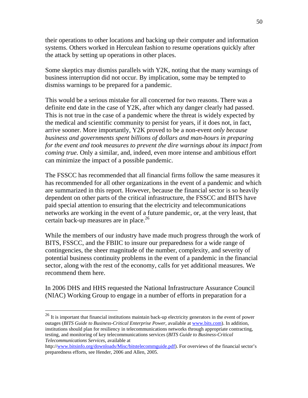their operations to other locations and backing up their computer and information systems. Others worked in Herculean fashion to resume operations quickly after the attack by setting up operations in other places.

Some skeptics may dismiss parallels with Y2K, noting that the many warnings of business interruption did not occur. By implication, some may be tempted to dismiss warnings to be prepared for a pandemic.

This would be a serious mistake for all concerned for two reasons. There was a definite end date in the case of Y2K, after which any danger clearly had passed. This is not true in the case of a pandemic where the threat is widely expected by the medical and scientific community to persist for years, if it does not, in fact, arrive sooner. More importantly, Y2K proved to be a non-event *only because business and governments spent billions of dollars and man-hours in preparing for the event and took measures to prevent the dire warnings about its impact from coming true.* Only a similar, and, indeed, even more intense and ambitious effort can minimize the impact of a possible pandemic.

The FSSCC has recommended that all financial firms follow the same measures it has recommended for all other organizations in the event of a pandemic and which are summarized in this report. However, because the financial sector is so heavily dependent on other parts of the critical infrastructure, the FSSCC and BITS have paid special attention to ensuring that the electricity and telecommunications networks are working in the event of a future pandemic, or, at the very least, that certain back-up measures are in place. $^{26}$ 

While the members of our industry have made much progress through the work of BITS, FSSCC, and the FBIIC to insure our preparedness for a wide range of contingencies, the sheer magnitude of the number, complexity, and severity of potential business continuity problems in the event of a pandemic in the financial sector, along with the rest of the economy, calls for yet additional measures. We recommend them here.

In 2006 DHS and HHS requested the National Infrastructure Assurance Council (NIAC) Working Group to engage in a number of efforts in preparation for a

 $^{26}$  It is important that financial institutions maintain back-up electricity generators in the event of power outages (*BITS Guide to Business-Critical Enterprise Power*, available at www.bits.com). In addition, institutions should plan for resiliency in telecommunications networks through appropriate contracting, testing, and monitoring of key telecommunications services (*BITS Guide to Business-Critical Telecommunications Services*, available at

http://www.bitsinfo.org/downloads/Misc/bitstelecommguide.pdf). For overviews of the financial sector's preparedness efforts, see Hender, 2006 and Allen, 2005.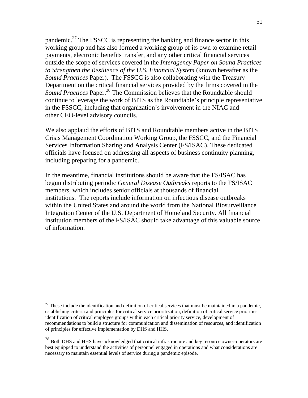pandemic.<sup>27</sup> The FSSCC is representing the banking and finance sector in this working group and has also formed a working group of its own to examine retail payments, electronic benefits transfer, and any other critical financial services outside the scope of services covered in the *Interagency Paper on Sound Practices to Strengthen the Resilience of the U.S. Financial System* (known hereafter as the *Sound Practices* Paper). The FSSCC is also collaborating with the Treasury Department on the critical financial services provided by the firms covered in the *Sound Practices* Paper.<sup>28</sup> The Commission believes that the Roundtable should continue to leverage the work of BITS as the Roundtable's principle representative in the FSSCC, including that organization's involvement in the NIAC and other CEO-level advisory councils.

We also applaud the efforts of BITS and Roundtable members active in the BITS Crisis Management Coordination Working Group, the FSSCC, and the Financial Services Information Sharing and Analysis Center (FS/ISAC). These dedicated officials have focused on addressing all aspects of business continuity planning, including preparing for a pandemic.

In the meantime, financial institutions should be aware that the FS/ISAC has begun distributing periodic *General Disease Outbreaks* reports to the FS/ISAC members, which includes senior officials at thousands of financial institutions. The reports include information on infectious disease outbreaks within the United States and around the world from the National Biosurveillance Integration Center of the U.S. Department of Homeland Security. All financial institution members of the FS/ISAC should take advantage of this valuable source of information.

 $^{27}$  These include the identification and definition of critical services that must be maintained in a pandemic, establishing criteria and principles for critical service prioritization, definition of critical service priorities, identification of critical employee groups within each critical priority service, development of recommendations to build a structure for communication and dissemination of resources, and identification of principles for effective implementation by DHS and HHS.

<sup>&</sup>lt;sup>28</sup> Both DHS and HHS have acknowledged that critical infrastructure and key resource owner-operators are best equipped to understand the activities of personnel engaged in operations and what considerations are necessary to maintain essential levels of service during a pandemic episode.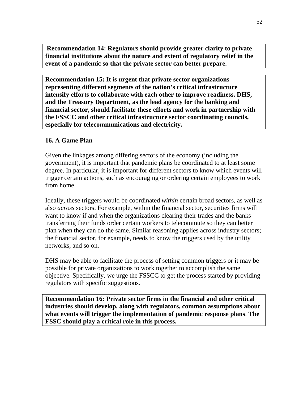**Recommendation 14: Regulators should provide greater clarity to private financial institutions about the nature and extent of regulatory relief in the event of a pandemic so that the private sector can better prepare.** 

**Recommendation 15: It is urgent that private sector organizations representing different segments of the nation's critical infrastructure intensify efforts to collaborate with each other to improve readiness. DHS, and the Treasury Department, as the lead agency for the banking and financial sector, should facilitate these efforts and work in partnership with the FSSCC and other critical infrastructure sector coordinating councils, especially for telecommunications and electricity.** 

### **16. A Game Plan**

Given the linkages among differing sectors of the economy (including the government), it is important that pandemic plans be coordinated to at least some degree. In particular, it is important for different sectors to know which events will trigger certain actions, such as encouraging or ordering certain employees to work from home.

Ideally, these triggers would be coordinated *within* certain broad sectors, as well as also *across* sectors. For example, within the financial sector, securities firms will want to know if and when the organizations clearing their trades and the banks transferring their funds order certain workers to telecommute so they can better plan when they can do the same. Similar reasoning applies across industry sectors; the financial sector, for example, needs to know the triggers used by the utility networks, and so on.

DHS may be able to facilitate the process of setting common triggers or it may be possible for private organizations to work together to accomplish the same objective. Specifically, we urge the FSSCC to get the process started by providing regulators with specific suggestions.

**Recommendation 16: Private sector firms in the financial and other critical industries should develop, along with regulators, common assumptions about what events will trigger the implementation of pandemic response plans**. **The FSSC should play a critical role in this process.**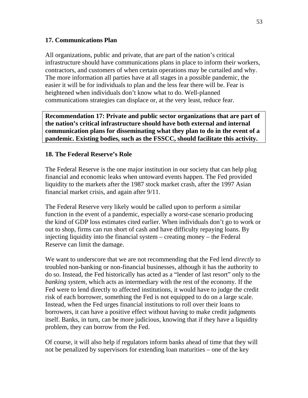### **17. Communications Plan**

All organizations, public and private, that are part of the nation's critical infrastructure should have communications plans in place to inform their workers, contractors, and customers of when certain operations may be curtailed and why. The more information all parties have at all stages in a possible pandemic, the easier it will be for individuals to plan and the less fear there will be. Fear is heightened when individuals don't know what to do. Well-planned communications strategies can displace or, at the very least, reduce fear.

**Recommendation 17: Private and public sector organizations that are part of the nation's critical infrastructure should have both external and internal communication plans for disseminating what they plan to do in the event of a pandemic. Existing bodies, such as the FSSCC, should facilitate this activity.**

### **18. The Federal Reserve's Role**

The Federal Reserve is the one major institution in our society that can help plug financial and economic leaks when untoward events happen. The Fed provided liquidity to the markets after the 1987 stock market crash, after the 1997 Asian financial market crisis, and again after 9/11.

The Federal Reserve very likely would be called upon to perform a similar function in the event of a pandemic, especially a worst-case scenario producing the kind of GDP loss estimates cited earlier. When individuals don't go to work or out to shop, firms can run short of cash and have difficulty repaying loans. By injecting liquidity into the financial system – creating money – the Federal Reserve can limit the damage.

We want to underscore that we are not recommending that the Fed lend *directly* to troubled non-banking or non-financial businesses, although it has the authority to do so. Instead, the Fed historically has acted as a "lender of last resort" only to the *banking system,* which acts as intermediary with the rest of the economy. If the Fed were to lend directly to affected institutions, it would have to judge the credit risk of each borrower, something the Fed is not equipped to do on a large scale. Instead, when the Fed urges financial institutions to roll over their loans to borrowers, it can have a positive effect without having to make credit judgments itself. Banks, in turn, can be more judicious, knowing that if they have a liquidity problem, they can borrow from the Fed.

Of course, it will also help if regulators inform banks ahead of time that they will not be penalized by supervisors for extending loan maturities – one of the key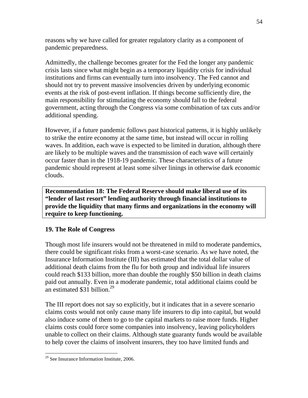reasons why we have called for greater regulatory clarity as a component of pandemic preparedness.

Admittedly, the challenge becomes greater for the Fed the longer any pandemic crisis lasts since what might begin as a temporary liquidity crisis for individual institutions and firms can eventually turn into insolvency. The Fed cannot and should not try to prevent massive insolvencies driven by underlying economic events at the risk of post-event inflation. If things become sufficiently dire, the main responsibility for stimulating the economy should fall to the federal government, acting through the Congress via some combination of tax cuts and/or additional spending.

However, if a future pandemic follows past historical patterns, it is highly unlikely to strike the entire economy at the same time, but instead will occur in rolling waves. In addition, each wave is expected to be limited in duration, although there are likely to be multiple waves and the transmission of each wave will certainly occur faster than in the 1918-19 pandemic. These characteristics of a future pandemic should represent at least some silver linings in otherwise dark economic clouds.

**Recommendation 18: The Federal Reserve should make liberal use of its "lender of last resort" lending authority through financial institutions to provide the liquidity that many firms and organizations in the economy will require to keep functioning.** 

# **19. The Role of Congress**

Though most life insurers would not be threatened in mild to moderate pandemics, there could be significant risks from a worst-case scenario. As we have noted, the Insurance Information Institute (III) has estimated that the total dollar value of additional death claims from the flu for both group and individual life insurers could reach \$133 billion, more than double the roughly \$50 billion in death claims paid out annually. Even in a moderate pandemic, total additional claims could be an estimated \$31 billion. $^{29}$ 

The III report does not say so explicitly, but it indicates that in a severe scenario claims costs would not only cause many life insurers to dip into capital, but would also induce some of them to go to the capital markets to raise more funds. Higher claims costs could force some companies into insolvency, leaving policyholders unable to collect on their claims. Although state guaranty funds would be available to help cover the claims of insolvent insurers, they too have limited funds and

<sup>29</sup> See Insurance Information Institute, 2006.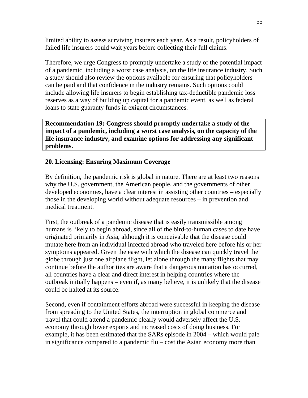limited ability to assess surviving insurers each year. As a result, policyholders of failed life insurers could wait years before collecting their full claims.

Therefore, we urge Congress to promptly undertake a study of the potential impact of a pandemic, including a worst case analysis, on the life insurance industry. Such a study should also review the options available for ensuring that policyholders can be paid and that confidence in the industry remains. Such options could include allowing life insurers to begin establishing tax-deductible pandemic loss reserves as a way of building up capital for a pandemic event, as well as federal loans to state guaranty funds in exigent circumstances.

**Recommendation 19: Congress should promptly undertake a study of the impact of a pandemic, including a worst case analysis, on the capacity of the life insurance industry, and examine options for addressing any significant problems.** 

# **20. Licensing: Ensuring Maximum Coverage**

By definition, the pandemic risk is global in nature. There are at least two reasons why the U.S. government, the American people, and the governments of other developed economies, have a clear interest in assisting other countries – especially those in the developing world without adequate resources – in prevention and medical treatment.

First, the outbreak of a pandemic disease that is easily transmissible among humans is likely to begin abroad, since all of the bird-to-human cases to date have originated primarily in Asia, although it is conceivable that the disease could mutate here from an individual infected abroad who traveled here before his or her symptoms appeared. Given the ease with which the disease can quickly travel the globe through just one airplane flight, let alone through the many flights that may continue before the authorities are aware that a dangerous mutation has occurred, all countries have a clear and direct interest in helping countries where the outbreak initially happens – even if, as many believe, it is unlikely that the disease could be halted at its source.

Second, even if containment efforts abroad were successful in keeping the disease from spreading to the United States, the interruption in global commerce and travel that could attend a pandemic clearly would adversely affect the U.S. economy through lower exports and increased costs of doing business. For example, it has been estimated that the SARs episode in 2004 – which would pale in significance compared to a pandemic flu – cost the Asian economy more than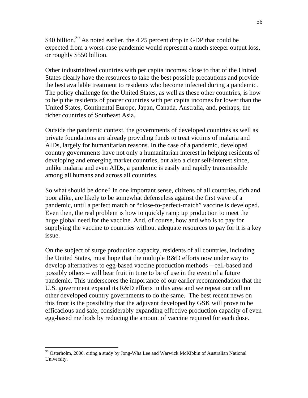\$40 billion.<sup>30</sup> As noted earlier, the 4.25 percent drop in GDP that could be expected from a worst-case pandemic would represent a much steeper output loss, or roughly \$550 billion.

Other industrialized countries with per capita incomes close to that of the United States clearly have the resources to take the best possible precautions and provide the best available treatment to residents who become infected during a pandemic. The policy challenge for the United States, as well as these other countries, is how to help the residents of poorer countries with per capita incomes far lower than the United States, Continental Europe, Japan, Canada, Australia, and, perhaps, the richer countries of Southeast Asia.

Outside the pandemic context, the governments of developed countries as well as private foundations are already providing funds to treat victims of malaria and AIDs, largely for humanitarian reasons. In the case of a pandemic, developed country governments have not only a humanitarian interest in helping residents of developing and emerging market countries, but also a clear self-interest since, unlike malaria and even AIDs, a pandemic is easily and rapidly transmissible among all humans and across all countries.

So what should be done? In one important sense, citizens of all countries, rich and poor alike, are likely to be somewhat defenseless against the first wave of a pandemic, until a perfect match or "close-to-perfect-match" vaccine is developed. Even then, the real problem is how to quickly ramp up production to meet the huge global need for the vaccine. And, of course, how and who is to pay for supplying the vaccine to countries without adequate resources to pay for it is a key issue.

On the subject of surge production capacity, residents of all countries, including the United States, must hope that the multiple R&D efforts now under way to develop alternatives to egg-based vaccine production methods – cell-based and possibly others – will bear fruit in time to be of use in the event of a future pandemic. This underscores the importance of our earlier recommendation that the U.S. government expand its R&D efforts in this area and we repeat our call on other developed country governments to do the same. The best recent news on this front is the possibility that the adjuvant developed by GSK will prove to be efficacious and safe, considerably expanding effective production capacity of even egg-based methods by reducing the amount of vaccine required for each dose.

<sup>&</sup>lt;sup>30</sup> Osterholm, 2006, citing a study by Jong-Wha Lee and Warwick McKibbin of Australian National University.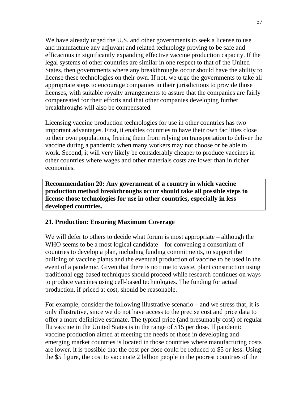We have already urged the U.S. and other governments to seek a license to use and manufacture any adjuvant and related technology proving to be safe and efficacious in significantly expanding effective vaccine production capacity. If the legal systems of other countries are similar in one respect to that of the United States, then governments where any breakthroughs occur should have the ability to license these technologies on their own. If not, we urge the governments to take all appropriate steps to encourage companies in their jurisdictions to provide those licenses, with suitable royalty arrangements to assure that the companies are fairly compensated for their efforts and that other companies developing further breakthroughs will also be compensated.

Licensing vaccine production technologies for use in other countries has two important advantages. First, it enables countries to have their own facilities close to their own populations, freeing them from relying on transportation to deliver the vaccine during a pandemic when many workers may not choose or be able to work. Second, it will very likely be considerably cheaper to produce vaccines in other countries where wages and other materials costs are lower than in richer economies.

**Recommendation 20: Any government of a country in which vaccine production method breakthroughs occur should take all possible steps to license those technologies for use in other countries, especially in less developed countries.** 

# **21. Production: Ensuring Maximum Coverage**

We will defer to others to decide what forum is most appropriate – although the WHO seems to be a most logical candidate – for convening a consortium of countries to develop a plan, including funding commitments, to support the building of vaccine plants and the eventual production of vaccine to be used in the event of a pandemic. Given that there is no time to waste, plant construction using traditional egg-based techniques should proceed while research continues on ways to produce vaccines using cell-based technologies. The funding for actual production, if priced at cost, should be reasonable.

For example, consider the following illustrative scenario – and we stress that, it is only illustrative, since we do not have access to the precise cost and price data to offer a more definitive estimate. The typical price (and presumably cost) of regular flu vaccine in the United States is in the range of \$15 per dose. If pandemic vaccine production aimed at meeting the needs of those in developing and emerging market countries is located in those countries where manufacturing costs are lower, it is possible that the cost per dose could be reduced to \$5 or less. Using the \$5 figure, the cost to vaccinate 2 billion people in the poorest countries of the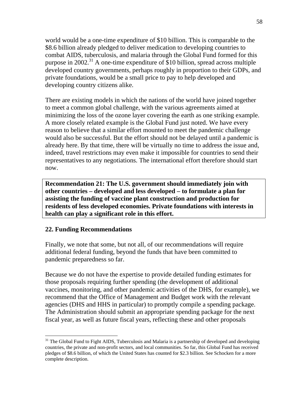world would be a one-time expenditure of \$10 billion. This is comparable to the \$8.6 billion already pledged to deliver medication to developing countries to combat AIDS, tuberculosis, and malaria through the Global Fund formed for this purpose in 2002.<sup>31</sup> A one-time expenditure of \$10 billion, spread across multiple developed country governments, perhaps roughly in proportion to their GDPs, and private foundations, would be a small price to pay to help developed and developing country citizens alike.

There are existing models in which the nations of the world have joined together to meet a common global challenge, with the various agreements aimed at minimizing the loss of the ozone layer covering the earth as one striking example. A more closely related example is the Global Fund just noted. We have every reason to believe that a similar effort mounted to meet the pandemic challenge would also be successful. But the effort should not be delayed until a pandemic is already here. By that time, there will be virtually no time to address the issue and, indeed, travel restrictions may even make it impossible for countries to send their representatives to any negotiations. The international effort therefore should start now.

**Recommendation 21: The U.S. government should immediately join with other countries – developed and less developed – to formulate a plan for assisting the funding of vaccine plant construction and production for residents of less developed economies. Private foundations with interests in health can play a significant role in this effort.** 

### **22. Funding Recommendations**

 $\overline{a}$ 

Finally, we note that some, but not all, of our recommendations will require additional federal funding, beyond the funds that have been committed to pandemic preparedness so far.

Because we do not have the expertise to provide detailed funding estimates for those proposals requiring further spending (the development of additional vaccines, monitoring, and other pandemic activities of the DHS, for example), we recommend that the Office of Management and Budget work with the relevant agencies (DHS and HHS in particular) to promptly compile a spending package. The Administration should submit an appropriate spending package for the next fiscal year, as well as future fiscal years, reflecting these and other proposals

<sup>&</sup>lt;sup>31</sup> The Global Fund to Fight AIDS, Tuberculosis and Malaria is a partnership of developed and developing countries, the private and non-profit sectors, and local communities. So far, this Global Fund has received pledges of \$8.6 billion, of which the United States has counted for \$2.3 billion. See Schocken for a more complete description.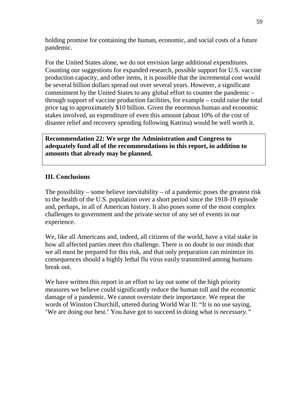holding promise for containing the human, economic, and social costs of a future pandemic.

For the United States alone, we do not envision large additional expenditures. Counting our suggestions for expanded research, possible support for U.S. vaccine production capacity, and other items, it is possible that the incremental cost would be several billion dollars spread out over several years. However, a significant commitment by the United States to any global effort to counter the pandemic – through support of vaccine production facilities, for example – could raise the total price tag to approximately \$10 billion. Given the enormous human and economic stakes involved, an expenditure of even this amount (about 10% of the cost of disaster relief and recovery spending following Katrina) would be well worth it.

**Recommendation 22: We urge the Administration and Congress to adequately fund all of the recommendations in this report, in addition to amounts that already may be planned.** 

# **III. Conclusions**

The possibility – some believe inevitability – of a pandemic poses the greatest risk to the health of the U.S. population over a short period since the 1918-19 episode and, perhaps, in all of American history. It also poses some of the most complex challenges to government and the private sector of any set of events in our experience.

We, like all Americans and, indeed, all citizens of the world, have a vital stake in how all affected parties meet this challenge. There is no doubt in our minds that we all must be prepared for this risk, and that only preparation can minimize its consequences should a highly lethal flu virus easily transmitted among humans break out.

We have written this report in an effort to lay out some of the high priority measures we believe could significantly reduce the human toll and the economic damage of a pandemic. We cannot overstate their importance. We repeat the words of Winston Churchill, uttered during World War II: "It is no use saying, 'We are doing our best.' You have got to succeed in doing what is *necessary."*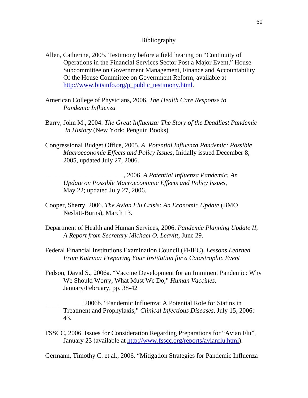#### Bibliography

- Allen, Catherine, 2005. Testimony before a field hearing on "Continuity of Operations in the Financial Services Sector Post a Major Event," House Subcommittee on Government Management, Finance and Accountability Of the House Committee on Government Reform, available at http://www.bitsinfo.org/p\_public\_testimony.html.
- American College of Physicians, 2006. *The Health Care Response to Pandemic Influenza*
- Barry, John M., 2004. *The Great Influenza: The Story of the Deadliest Pandemic In History* (New York: Penguin Books)
- Congressional Budget Office, 2005. *A Potential Influenza Pandemic: Possible Macroeconomic Effects and Policy Issues,* Initially issued December 8, 2005, updated July 27, 2006.

\_\_\_\_\_\_\_\_\_\_\_\_\_\_\_\_\_\_\_\_\_\_\_\_, 2006. *A Potential Influenza Pandemic: An Update on Possible Macroeconomic Effects and Policy Issues*, May 22; updated July 27, 2006.

- Cooper, Sherry, 2006. *The Avian Flu Crisis: An Economic Update* (BMO Nesbitt-Burns), March 13.
- Department of Health and Human Services, 2006. *Pandemic Planning Update II, A Report from Secretary Michael O. Leavitt*, June 29.
- Federal Financial Institutions Examination Council (FFIEC), *Lessons Learned From Katrina: Preparing Your Institution for a Catastrophic Event*
- Fedson, David S., 2006a. "Vaccine Development for an Imminent Pandemic: Why We Should Worry, What Must We Do," *Human Vaccines*, January/February, pp. 38-42

\_\_\_\_\_\_\_\_\_\_\_, 2006b. "Pandemic Influenza: A Potential Role for Statins in Treatment and Prophylaxis," *Clinical Infectious Diseases*, July 15, 2006: 43.

FSSCC, 2006. Issues for Consideration Regarding Preparations for "Avian Flu", January 23 (available at http://www.fsscc.org/reports/avianflu.html).

Germann, Timothy C. et al., 2006. "Mitigation Strategies for Pandemic Influenza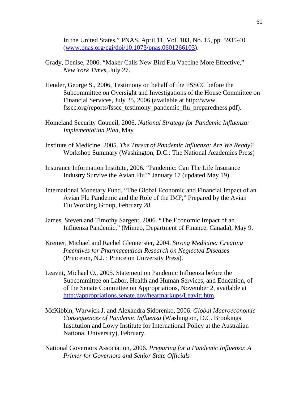In the United States," PNAS, April 11, Vol. 103, No. 15, pp. 5935-40. (www.pnas.org/cgi/doi/10.1073/pnas.0601266103).

- Grady, Denise, 2006. "Maker Calls New Bird Flu Vaccine More Effective," *New York Times*, July 27.
- Hender, George S., 2006, Testimony on behalf of the FSSCC before the Subcommittee on Oversight and Investigations of the House Committee on Financial Services, July 25, 2006 (available at http://www. fsscc.org/reports/fsscc\_testimony\_pandemic\_flu\_preparedness.pdf).
- Homeland Security Council, 2006. *National Strategy for Pandemic Influenza: Implementation Plan*, May
- Institute of Medicine, 2005. *The Threat of Pandemic Influenza: Are We Ready?* Workshop Summary (Washington, D.C.: The National Academies Press)
- Insurance Information Institute, 2006. "Pandemic: Can The Life Insurance Industry Survive the Avian Flu?" January 17 (updated May 19).
- International Monetary Fund, "The Global Economic and Financial Impact of an Avian Flu Pandemic and the Role of the IMF," Prepared by the Avian Flu Working Group, February 28
- James, Steven and Timothy Sargent, 2006. "The Economic Impact of an Influenza Pandemic," (Mimeo, Department of Finance, Canada), May 9.
- Kremer, Michael and Rachel Glennerster, 2004. *Strong Medicine: Creating Incentives for Pharmaceutical Research on Neglected Diseases*  (Princeton, N.J. : Princeton University Press).
- Leavitt, Michael O., 2005. Statement on Pandemic Influenza before the Subcommittee on Labor, Health and Human Services, and Education, of of the Senate Committee on Appropriations, November 2, available at http://appropriations.senate.gov/hearmarkups/Leavitt.htm.
- McKibbin, Warwick J. and Alexandra Sidorenko, 2006. *Global Macroeconomic Consequences of Pandemic Influenza* (Washington, D.C. Brookings Institution and Lowy Institute for International Policy at the Australian National University), February.
- National Governors Association, 2006. *Preparing for a Pandemic Influenza*: *A Primer for Governors and Senior State Officials*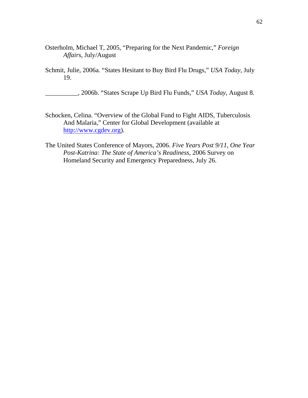- Osterholm, Michael T, 2005, "Preparing for the Next Pandemic," *Foreign Affairs*, July/August
- Schmit, Julie, 2006a. "States Hesitant to Buy Bird Flu Drugs," *USA Today,* July 19.

\_\_\_\_\_\_\_\_\_\_, 2006b. "States Scrape Up Bird Flu Funds," *USA Today*, August 8.

- Schocken, Celina. "Overview of the Global Fund to Fight AIDS, Tuberculosis And Malaria," Center for Global Development (available at http://www.cgdev.org).
- The United States Conference of Mayors, 2006. *Five Years Post 9/11, One Year Post-Katrina: The State of America's Readiness*, 2006 Survey on Homeland Security and Emergency Preparedness, July 26.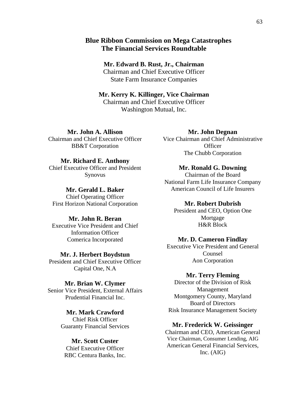### **Blue Ribbon Commission on Mega Catastrophes The Financial Services Roundtable**

**Mr. Edward B. Rust, Jr., Chairman**  Chairman and Chief Executive Officer State Farm Insurance Companies

### **Mr. Kerry K. Killinger, Vice Chairman**  Chairman and Chief Executive Officer Washington Mutual, Inc.

**Mr. John A. Allison**  Chairman and Chief Executive Officer BB&T Corporation

#### **Mr. Richard E. Anthony**

Chief Executive Officer and President Synovus

**Mr. Gerald L. Baker**  Chief Operating Officer First Horizon National Corporation

#### **Mr. John R. Beran**

Executive Vice President and Chief Information Officer Comerica Incorporated

#### **Mr. J. Herbert Boydstun**

President and Chief Executive Officer Capital One, N.A

#### **Mr. Brian W. Clymer**

Senior Vice President, External Affairs Prudential Financial Inc.

> **Mr. Mark Crawford**  Chief Risk Officer Guaranty Financial Services

### **Mr. Scott Custer**

Chief Executive Officer RBC Centura Banks, Inc.

#### **Mr. John Degnan**

Vice Chairman and Chief Administrative **Officer** The Chubb Corporation

#### **Mr. Ronald G. Downing**

Chairman of the Board National Farm Life Insurance Company American Council of Life Insurers

#### **Mr. Robert Dubrish**

President and CEO, Option One Mortgage H&R Block

#### **Mr. D. Cameron Findlay**

Executive Vice President and General Counsel Aon Corporation

#### **Mr. Terry Fleming**

Director of the Division of Risk Management Montgomery County, Maryland Board of Directors Risk Insurance Management Society

#### **Mr. Frederick W. Geissinger**

Chairman and CEO, American General Vice Chairman, Consumer Lending, AIG American General Financial Services, Inc. (AIG)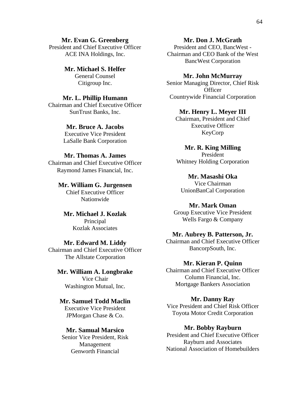**Mr. Evan G. Greenberg**  President and Chief Executive Officer ACE INA Holdings, Inc.

> **Mr. Michael S. Helfer**  General Counsel Citigroup Inc.

#### **Mr. L. Phillip Humann**  Chairman and Chief Executive Officer SunTrust Banks, Inc.

**Mr. Bruce A. Jacobs**  Executive Vice President LaSalle Bank Corporation

### **Mr. Thomas A. James**

Chairman and Chief Executive Officer Raymond James Financial, Inc.

> **Mr. William G. Jurgensen**  Chief Executive Officer Nationwide

**Mr. Michael J. Kozlak**  Principal Kozlak Associates

#### **Mr. Edward M. Liddy**

Chairman and Chief Executive Officer The Allstate Corporation

# **Mr. William A. Longbrake**  Vice Chair

Washington Mutual, Inc.

### **Mr. Samuel Todd Maclin**

Executive Vice President JPMorgan Chase & Co.

### **Mr. Samual Marsico**

Senior Vice President, Risk Management Genworth Financial

### **Mr. Don J. McGrath**

President and CEO, BancWest - Chairman and CEO Bank of the West BancWest Corporation

#### **Mr. John McMurray**

Senior Managing Director, Chief Risk **Officer** Countrywide Financial Corporation

### **Mr. Henry L. Meyer III**

Chairman, President and Chief Executive Officer KeyCorp

**Mr. R. King Milling**  President Whitney Holding Corporation

**Mr. Masashi Oka**  Vice Chairman UnionBanCal Corporation

#### **Mr. Mark Oman**

Group Executive Vice President Wells Fargo & Company

#### **Mr. Aubrey B. Patterson, Jr.**

Chairman and Chief Executive Officer BancorpSouth, Inc.

### **Mr. Kieran P. Quinn**

Chairman and Chief Executive Officer Column Financial, Inc. Mortgage Bankers Association

#### **Mr. Danny Ray**

Vice President and Chief Risk Officer Toyota Motor Credit Corporation

#### **Mr. Bobby Rayburn**

President and Chief Executive Officer Rayburn and Associates National Association of Homebuilders